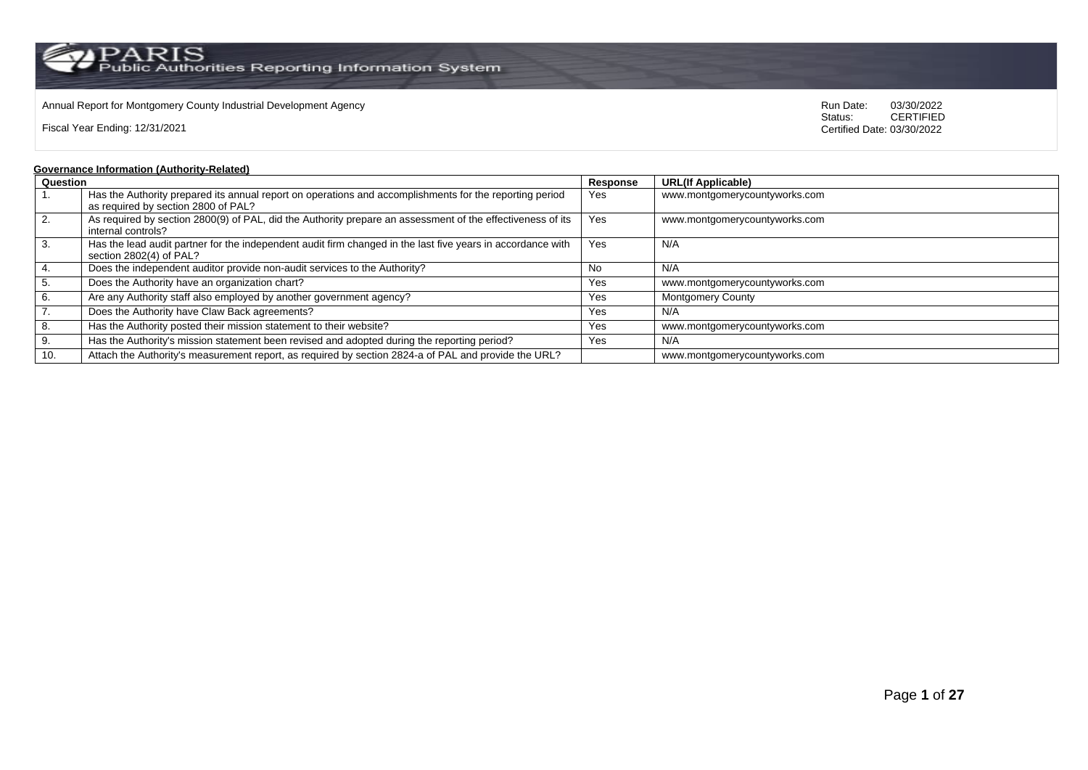## Annual Report for Montgomery County Industrial Development Agency<br>
Status: CERTIFIED

Fiscal Year Ending: 12/31/2021

CERTIFIED Certified Date: 03/30/2022

### **Governance Information (Authority-Related)**

| Question         |                                                                                                             | Response | <b>URL(If Applicable)</b>     |
|------------------|-------------------------------------------------------------------------------------------------------------|----------|-------------------------------|
|                  | Has the Authority prepared its annual report on operations and accomplishments for the reporting period     | Yes      | www.montgomerycountyworks.com |
|                  | as required by section 2800 of PAL?                                                                         |          |                               |
| $\overline{2}$ . | As required by section 2800(9) of PAL, did the Authority prepare an assessment of the effectiveness of its  | Yes      | www.montgomerycountyworks.com |
|                  | internal controls?                                                                                          |          |                               |
| 3.               | Has the lead audit partner for the independent audit firm changed in the last five years in accordance with | Yes      | N/A                           |
|                  | section 2802(4) of PAL?                                                                                     |          |                               |
| 4.               | Does the independent auditor provide non-audit services to the Authority?                                   | No.      | N/A                           |
| 5.               | Does the Authority have an organization chart?                                                              | Yes      | www.montgomerycountyworks.com |
| 6.               | Are any Authority staff also employed by another government agency?                                         | Yes      | <b>Montgomery County</b>      |
| $\overline{7}$ . | Does the Authority have Claw Back agreements?                                                               | Yes      | N/A                           |
| 8.               | Has the Authority posted their mission statement to their website?                                          | Yes      | www.montgomerycountyworks.com |
| 9.               | Has the Authority's mission statement been revised and adopted during the reporting period?                 | Yes      | N/A                           |
| 10.              | Attach the Authority's measurement report, as required by section 2824-a of PAL and provide the URL?        |          | www.montgomerycountyworks.com |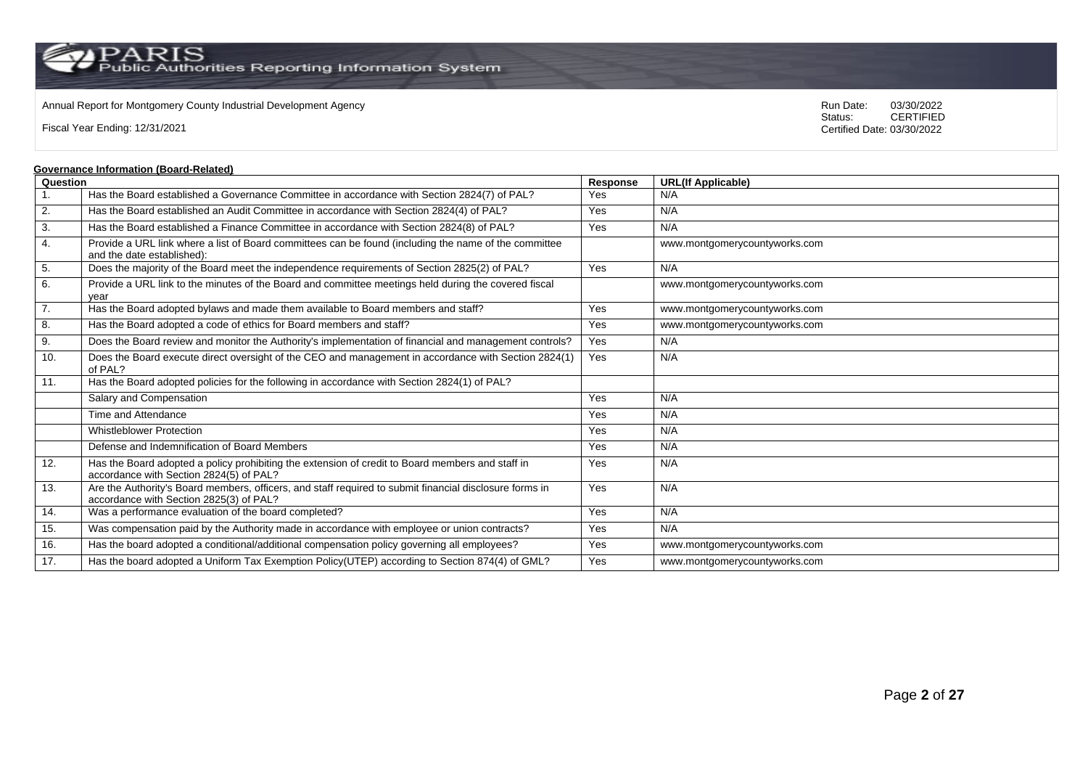Annual Report for Montgomery County Industrial Development Agency<br>
Status: CERTIFIED

Fiscal Year Ending: 12/31/2021

CERTIFIED Certified Date: 03/30/2022

#### **Governance Information (Board-Related)**

|                  | <u>Sovernance imormation (Board-Related)</u>                                                                                                       |          |                               |
|------------------|----------------------------------------------------------------------------------------------------------------------------------------------------|----------|-------------------------------|
| Question         |                                                                                                                                                    | Response | <b>URL(If Applicable)</b>     |
| 1.               | Has the Board established a Governance Committee in accordance with Section 2824(7) of PAL?                                                        | Yes      | N/A                           |
| 2.               | Has the Board established an Audit Committee in accordance with Section 2824(4) of PAL?                                                            | Yes      | N/A                           |
| 3.               | Has the Board established a Finance Committee in accordance with Section 2824(8) of PAL?                                                           | Yes      | N/A                           |
| 4.               | Provide a URL link where a list of Board committees can be found (including the name of the committee<br>and the date established):                |          | www.montgomerycountyworks.com |
| 5.               | Does the majority of the Board meet the independence requirements of Section 2825(2) of PAL?                                                       | Yes      | N/A                           |
| 6.               | Provide a URL link to the minutes of the Board and committee meetings held during the covered fiscal<br>vear                                       |          | www.montgomerycountyworks.com |
| $\overline{7}$ . | Has the Board adopted bylaws and made them available to Board members and staff?                                                                   | Yes      | www.montgomerycountyworks.com |
| 8.               | Has the Board adopted a code of ethics for Board members and staff?                                                                                | Yes      | www.montgomerycountyworks.com |
| 9.               | Does the Board review and monitor the Authority's implementation of financial and management controls?                                             | Yes      | N/A                           |
| 10.              | Does the Board execute direct oversight of the CEO and management in accordance with Section 2824(1)<br>of PAL?                                    | Yes      | N/A                           |
| 11.              | Has the Board adopted policies for the following in accordance with Section 2824(1) of PAL?                                                        |          |                               |
|                  | Salary and Compensation                                                                                                                            | Yes      | N/A                           |
|                  | Time and Attendance                                                                                                                                | Yes      | N/A                           |
|                  | <b>Whistleblower Protection</b>                                                                                                                    | Yes      | N/A                           |
|                  | Defense and Indemnification of Board Members                                                                                                       | Yes      | N/A                           |
| 12.              | Has the Board adopted a policy prohibiting the extension of credit to Board members and staff in<br>accordance with Section 2824(5) of PAL?        | Yes      | N/A                           |
| 13.              | Are the Authority's Board members, officers, and staff required to submit financial disclosure forms in<br>accordance with Section 2825(3) of PAL? | Yes      | N/A                           |
| 14.              | Was a performance evaluation of the board completed?                                                                                               | Yes      | N/A                           |
| 15.              | Was compensation paid by the Authority made in accordance with employee or union contracts?                                                        | Yes      | N/A                           |
| 16.              | Has the board adopted a conditional/additional compensation policy governing all employees?                                                        | Yes      | www.montgomerycountyworks.com |
| 17.              | Has the board adopted a Uniform Tax Exemption Policy(UTEP) according to Section 874(4) of GML?                                                     | Yes      | www.montgomerycountyworks.com |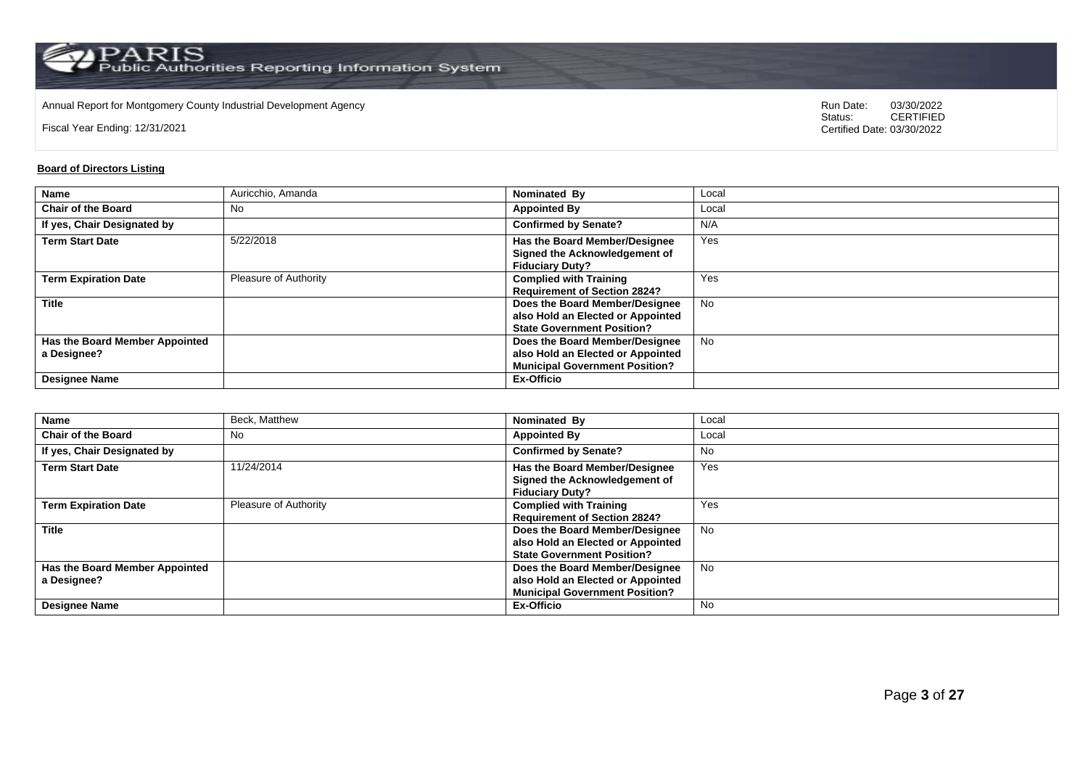Annual Report for Montgomery County Industrial Development Agency<br>
Status: CERTIFIED

Fiscal Year Ending: 12/31/2021

CERTIFIED Certified Date: 03/30/2022

### **Board of Directors Listing**

| <b>Name</b>                    | Auricchio, Amanda     | Nominated By                          | Local     |
|--------------------------------|-----------------------|---------------------------------------|-----------|
| <b>Chair of the Board</b>      | No                    | <b>Appointed By</b>                   | Local     |
| If yes, Chair Designated by    |                       | <b>Confirmed by Senate?</b>           | N/A       |
| <b>Term Start Date</b>         | 5/22/2018             | Has the Board Member/Designee         | Yes       |
|                                |                       | Signed the Acknowledgement of         |           |
|                                |                       | <b>Fiduciary Duty?</b>                |           |
| <b>Term Expiration Date</b>    | Pleasure of Authority | <b>Complied with Training</b>         | Yes       |
|                                |                       | <b>Requirement of Section 2824?</b>   |           |
| <b>Title</b>                   |                       | Does the Board Member/Designee        | <b>No</b> |
|                                |                       | also Hold an Elected or Appointed     |           |
|                                |                       | <b>State Government Position?</b>     |           |
| Has the Board Member Appointed |                       | Does the Board Member/Designee        | <b>No</b> |
| a Designee?                    |                       | also Hold an Elected or Appointed     |           |
|                                |                       | <b>Municipal Government Position?</b> |           |
| <b>Designee Name</b>           |                       | <b>Ex-Officio</b>                     |           |

| <b>Name</b>                                   | Beck, Matthew                | Nominated By                                                                                                 | Local     |
|-----------------------------------------------|------------------------------|--------------------------------------------------------------------------------------------------------------|-----------|
| <b>Chair of the Board</b>                     | No                           | <b>Appointed By</b>                                                                                          | Local     |
| If yes, Chair Designated by                   |                              | <b>Confirmed by Senate?</b>                                                                                  | <b>No</b> |
| <b>Term Start Date</b>                        | 11/24/2014                   | <b>Has the Board Member/Designee</b><br>Signed the Acknowledgement of<br><b>Fiduciary Duty?</b>              | Yes       |
| <b>Term Expiration Date</b>                   | <b>Pleasure of Authority</b> | <b>Complied with Training</b><br><b>Requirement of Section 2824?</b>                                         | Yes       |
| <b>Title</b>                                  |                              | Does the Board Member/Designee<br>also Hold an Elected or Appointed<br><b>State Government Position?</b>     | <b>No</b> |
| Has the Board Member Appointed<br>a Designee? |                              | Does the Board Member/Designee<br>also Hold an Elected or Appointed<br><b>Municipal Government Position?</b> | <b>No</b> |
| <b>Designee Name</b>                          |                              | Ex-Officio                                                                                                   | <b>No</b> |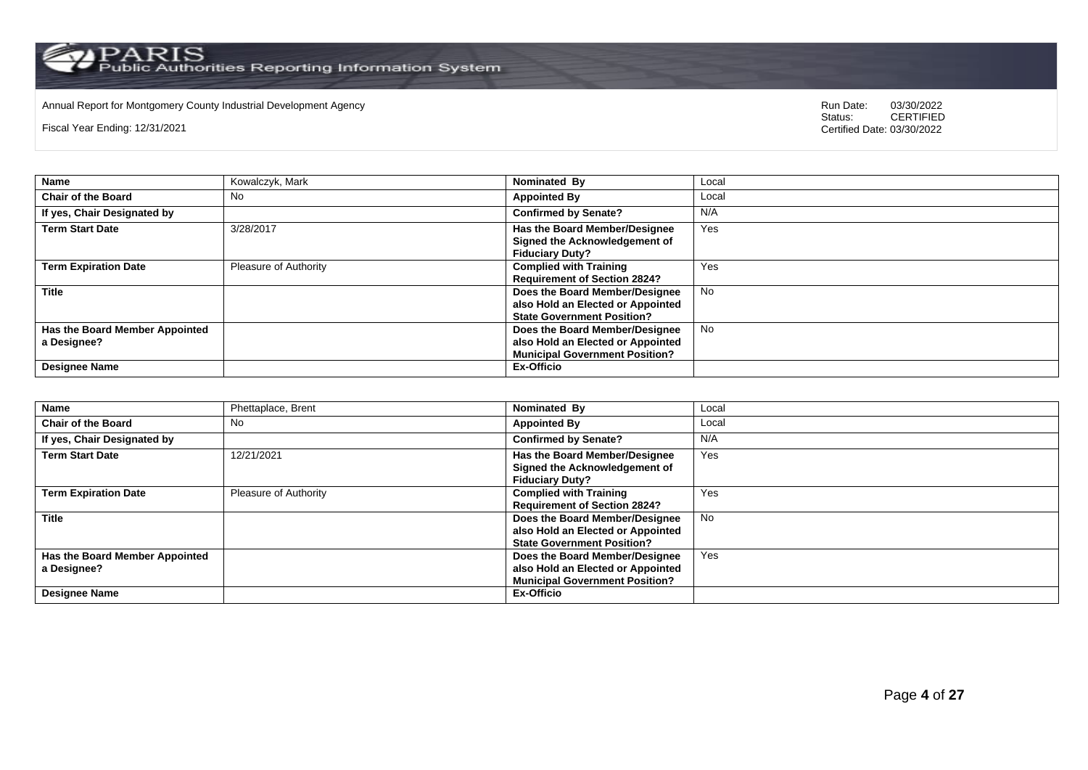Annual Report for Montgomery County Industrial Development Agency<br>
Status: CERTIFIED

Fiscal Year Ending: 12/31/2021

| Name                                          | Kowalczyk, Mark              | Nominated By                                                                                                 | Local     |
|-----------------------------------------------|------------------------------|--------------------------------------------------------------------------------------------------------------|-----------|
| <b>Chair of the Board</b>                     | No                           | <b>Appointed By</b>                                                                                          | Local     |
| If yes, Chair Designated by                   |                              | <b>Confirmed by Senate?</b>                                                                                  | N/A       |
| <b>Term Start Date</b>                        | 3/28/2017                    | Has the Board Member/Designee<br>Signed the Acknowledgement of<br><b>Fiduciary Duty?</b>                     | Yes       |
| <b>Term Expiration Date</b>                   | <b>Pleasure of Authority</b> | <b>Complied with Training</b><br><b>Requirement of Section 2824?</b>                                         | Yes       |
| <b>Title</b>                                  |                              | Does the Board Member/Designee<br>also Hold an Elected or Appointed<br><b>State Government Position?</b>     | <b>No</b> |
| Has the Board Member Appointed<br>a Designee? |                              | Does the Board Member/Designee<br>also Hold an Elected or Appointed<br><b>Municipal Government Position?</b> | <b>No</b> |
| <b>Designee Name</b>                          |                              | Ex-Officio                                                                                                   |           |

| <b>Name</b>                    | Phettaplace, Brent    | Nominated By                          | Local     |
|--------------------------------|-----------------------|---------------------------------------|-----------|
| <b>Chair of the Board</b>      | No.                   | <b>Appointed By</b>                   | Local     |
| If yes, Chair Designated by    |                       | <b>Confirmed by Senate?</b>           | N/A       |
| <b>Term Start Date</b>         | 12/21/2021            | Has the Board Member/Designee         | Yes       |
|                                |                       | Signed the Acknowledgement of         |           |
|                                |                       | <b>Fiduciary Duty?</b>                |           |
| <b>Term Expiration Date</b>    | Pleasure of Authority | <b>Complied with Training</b>         | Yes       |
|                                |                       | <b>Requirement of Section 2824?</b>   |           |
| <b>Title</b>                   |                       | Does the Board Member/Designee        | <b>No</b> |
|                                |                       | also Hold an Elected or Appointed     |           |
|                                |                       | <b>State Government Position?</b>     |           |
| Has the Board Member Appointed |                       | Does the Board Member/Designee        | Yes       |
| a Designee?                    |                       | also Hold an Elected or Appointed     |           |
|                                |                       | <b>Municipal Government Position?</b> |           |
| <b>Designee Name</b>           |                       | Ex-Officio                            |           |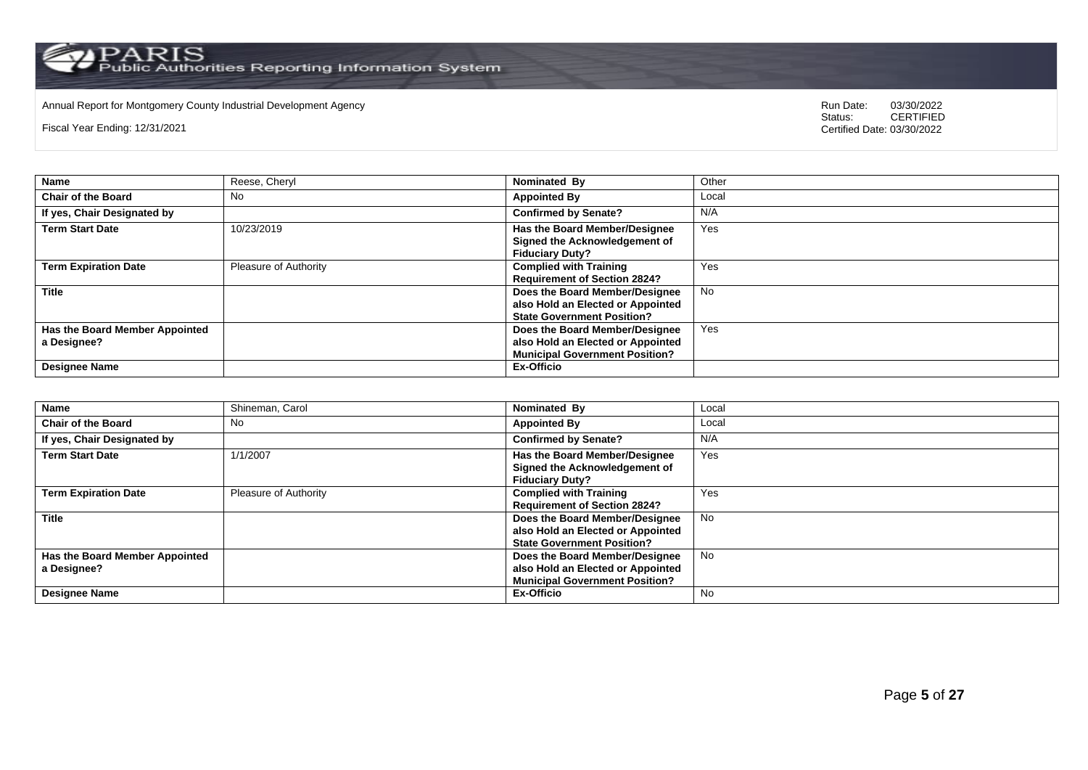Annual Report for Montgomery County Industrial Development Agency<br>
Status: CERTIFIED

Fiscal Year Ending: 12/31/2021

| <b>Name</b>                                   | Reese, Cheryl                | Nominated By                                                                                                 | Other     |
|-----------------------------------------------|------------------------------|--------------------------------------------------------------------------------------------------------------|-----------|
| <b>Chair of the Board</b>                     | No                           | <b>Appointed By</b>                                                                                          | Local     |
| If yes, Chair Designated by                   |                              | <b>Confirmed by Senate?</b>                                                                                  | N/A       |
| <b>Term Start Date</b>                        | 10/23/2019                   | <b>Has the Board Member/Designee</b><br>Signed the Acknowledgement of<br><b>Fiduciary Duty?</b>              | Yes       |
| <b>Term Expiration Date</b>                   | <b>Pleasure of Authority</b> | <b>Complied with Training</b><br><b>Requirement of Section 2824?</b>                                         | Yes       |
| <b>Title</b>                                  |                              | Does the Board Member/Designee<br>also Hold an Elected or Appointed<br><b>State Government Position?</b>     | <b>No</b> |
| Has the Board Member Appointed<br>a Designee? |                              | Does the Board Member/Designee<br>also Hold an Elected or Appointed<br><b>Municipal Government Position?</b> | Yes       |
| <b>Designee Name</b>                          |                              | Ex-Officio                                                                                                   |           |

| <b>Name</b>                    | Shineman, Carol       | Nominated By                          | Local     |
|--------------------------------|-----------------------|---------------------------------------|-----------|
| <b>Chair of the Board</b>      | No.                   | <b>Appointed By</b>                   | Local     |
| If yes, Chair Designated by    |                       | <b>Confirmed by Senate?</b>           | N/A       |
| <b>Term Start Date</b>         | 1/1/2007              | Has the Board Member/Designee         | Yes       |
|                                |                       | Signed the Acknowledgement of         |           |
|                                |                       | <b>Fiduciary Duty?</b>                |           |
| <b>Term Expiration Date</b>    | Pleasure of Authority | <b>Complied with Training</b>         | Yes       |
|                                |                       | <b>Requirement of Section 2824?</b>   |           |
| <b>Title</b>                   |                       | Does the Board Member/Designee        | <b>No</b> |
|                                |                       | also Hold an Elected or Appointed     |           |
|                                |                       | <b>State Government Position?</b>     |           |
| Has the Board Member Appointed |                       | Does the Board Member/Designee        | <b>No</b> |
| a Designee?                    |                       | also Hold an Elected or Appointed     |           |
|                                |                       | <b>Municipal Government Position?</b> |           |
| <b>Designee Name</b>           |                       | Ex-Officio                            | <b>No</b> |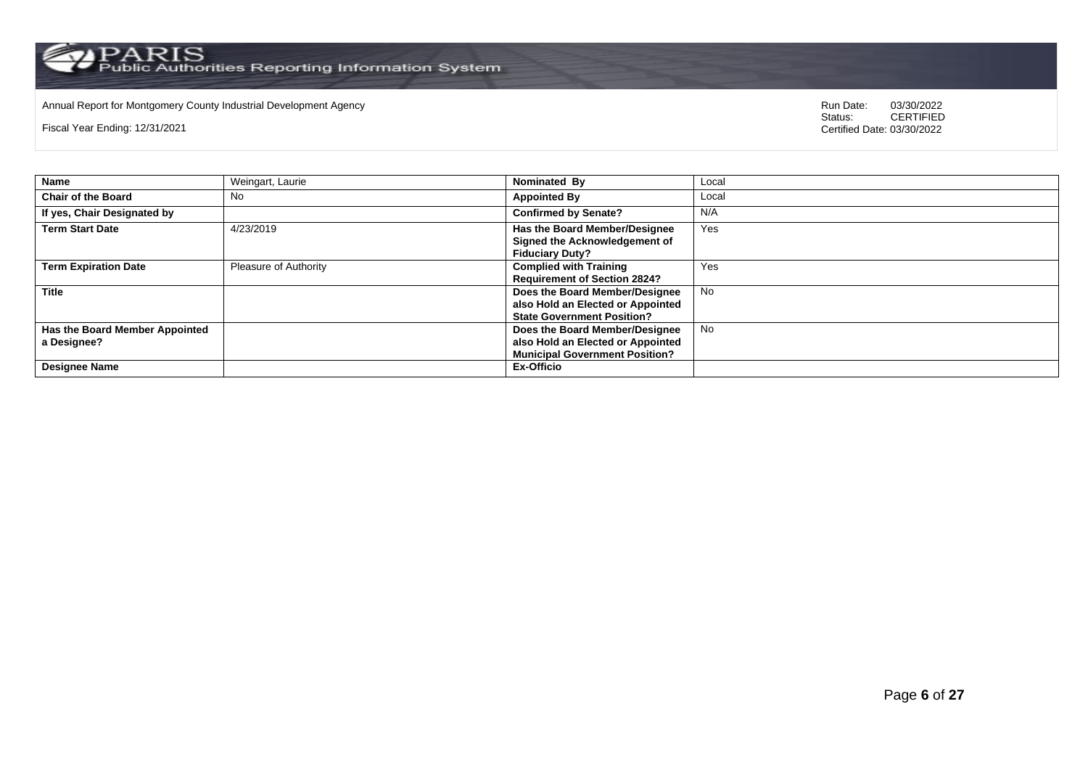$\operatorname{PARIS}_{\text{Public Authorities}\text{ Reporting Information System}}$ 

Annual Report for Montgomery County Industrial Development Agency<br>
Status: CERTIFIED

Fiscal Year Ending: 12/31/2021

| <b>Name</b>                                   | Weingart, Laurie             | Nominated By                                                                                                 | Local     |
|-----------------------------------------------|------------------------------|--------------------------------------------------------------------------------------------------------------|-----------|
| <b>Chair of the Board</b>                     | No                           | <b>Appointed By</b>                                                                                          | Local     |
| If yes, Chair Designated by                   |                              | <b>Confirmed by Senate?</b>                                                                                  | N/A       |
| <b>Term Start Date</b>                        | 4/23/2019                    | <b>Has the Board Member/Designee</b><br>Signed the Acknowledgement of<br><b>Fiduciary Duty?</b>              | Yes       |
| <b>Term Expiration Date</b>                   | <b>Pleasure of Authority</b> | <b>Complied with Training</b><br><b>Requirement of Section 2824?</b>                                         | Yes       |
| <b>Title</b>                                  |                              | Does the Board Member/Designee<br>also Hold an Elected or Appointed<br><b>State Government Position?</b>     | <b>No</b> |
| Has the Board Member Appointed<br>a Designee? |                              | Does the Board Member/Designee<br>also Hold an Elected or Appointed<br><b>Municipal Government Position?</b> | <b>No</b> |
| <b>Designee Name</b>                          |                              | Ex-Officio                                                                                                   |           |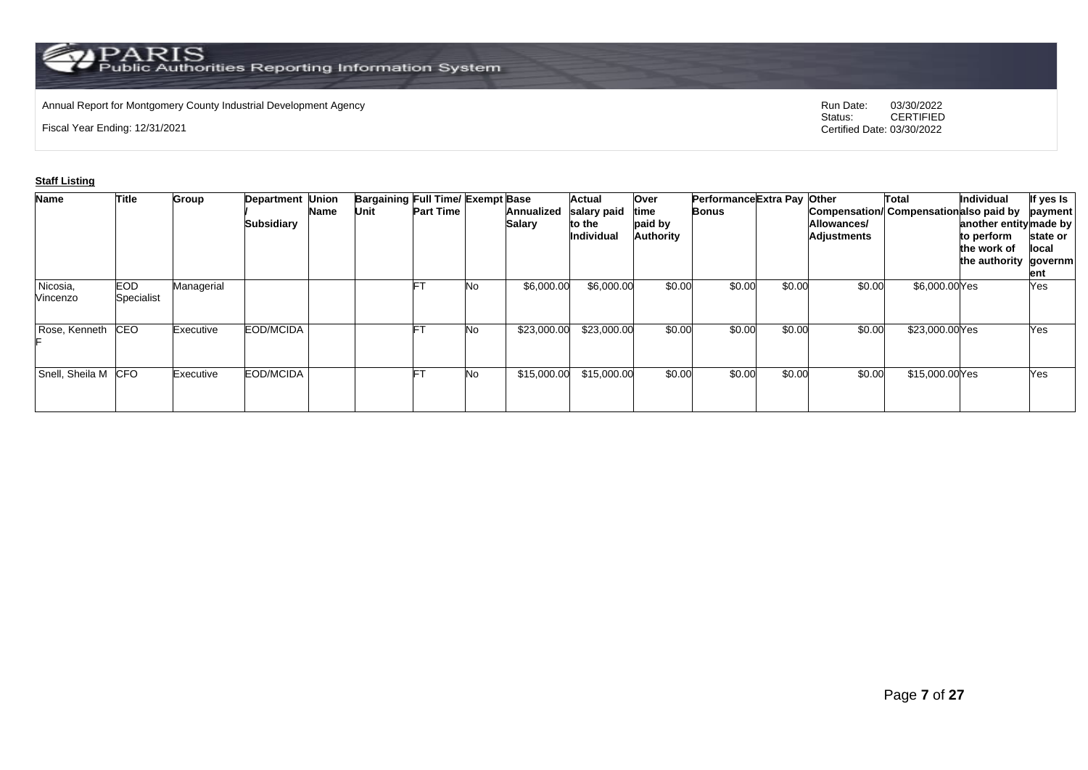## Annual Report for Montgomery County Industrial Development Agency<br>
Status: CERTIFIED

Fiscal Year Ending: 12/31/2021

CERTIFIED Certified Date: 03/30/2022

### **Staff Listing**

| <b>Name</b>          | <b>Title</b>       | <b>Group</b> | <b>Department Union</b><br><b>Subsidiary</b> | Name | <b>Bargaining Full Time/ Exempt Base</b><br>Unit | <b>Part Time</b> |    | Annualized<br>Salary | <b>Actual</b><br>salary paid<br>to the<br><b>Individual</b> | Over<br>time<br>paid by<br>Authority | Performance Extra Pay Other<br>Bonus |        | Allowances/<br>Adjustments | Total<br>Compensation/ Compensation also paid by | Individual<br>another entity made by<br>to perform<br>the work of<br>the authority governm | If yes Is<br>payment<br>state or<br>llocal<br>ent |
|----------------------|--------------------|--------------|----------------------------------------------|------|--------------------------------------------------|------------------|----|----------------------|-------------------------------------------------------------|--------------------------------------|--------------------------------------|--------|----------------------------|--------------------------------------------------|--------------------------------------------------------------------------------------------|---------------------------------------------------|
| Nicosia,<br>Vincenzo | EOD.<br>Specialist | Managerial   |                                              |      |                                                  | Ŀ.               | No | \$6,000.00           | \$6,000.00                                                  | \$0.00                               | \$0.00                               | \$0.00 | \$0.00                     | \$6,000.00 Yes                                   |                                                                                            | Yes                                               |
| Rose, Kenneth        | CEO                | Executive    | EOD/MCIDA                                    |      |                                                  | F                | No | \$23,000.00          | \$23,000.00                                                 | \$0.00                               | \$0.00                               | \$0.00 | \$0.00                     | \$23,000.00 Yes                                  |                                                                                            | Yes                                               |
| Snell, Sheila M CFO  |                    | Executive    | EOD/MCIDA                                    |      |                                                  | FТ               | No | \$15,000.00          | \$15,000.00                                                 | \$0.00                               | \$0.00                               | \$0.00 | \$0.00                     | \$15,000.00Yes                                   |                                                                                            | Yes                                               |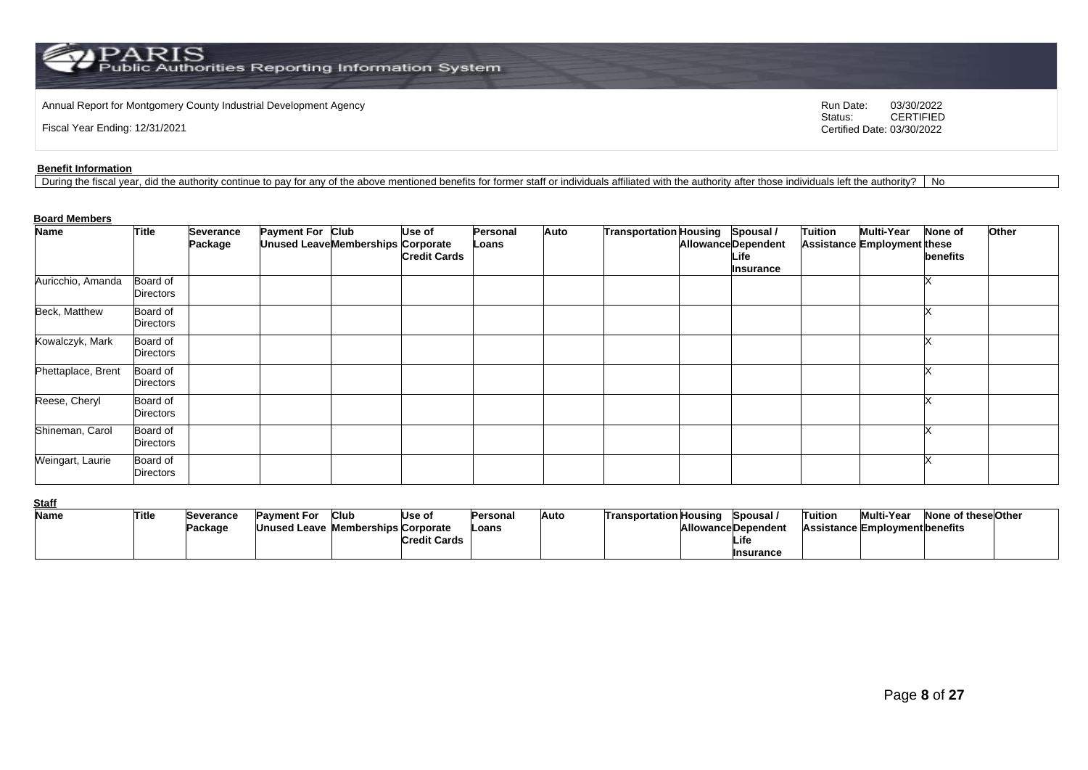Annual Report for Montgomery County Industrial Development Agency<br>
Status: CERTIFIED<br>
CERTIFIED

Fiscal Year Ending: 12/31/2021

CERTIFIED Certified Date: 03/30/2022

#### **Benefit Information**

During the fiscal year, did the authority continue to pay for any of the above mentioned benefits for former staff or individuals affiliated with the authority after those individuals left the authority? | No

#### **Board Members**

| <b>Name</b>        | <b>Title</b>          | <b>Severance</b> | Payment For Club                   | Use of              | <b>Personal</b> | Auto | Transportation Housing Spousal / |                                    | <b>Tuition</b> | <b>Multi-Year</b>                  | <b>None of</b> | Other |
|--------------------|-----------------------|------------------|------------------------------------|---------------------|-----------------|------|----------------------------------|------------------------------------|----------------|------------------------------------|----------------|-------|
|                    |                       | Package          | Unused Leave Memberships Corporate | <b>Credit Cards</b> | Loans           |      |                                  | <b>Allowance Dependent</b><br>Life |                | <b>Assistance Employment these</b> | benefits       |       |
|                    |                       |                  |                                    |                     |                 |      |                                  | Insurance                          |                |                                    |                |       |
| Auricchio, Amanda  | Board of<br>Directors |                  |                                    |                     |                 |      |                                  |                                    |                |                                    |                |       |
| Beck, Matthew      | Board of<br>Directors |                  |                                    |                     |                 |      |                                  |                                    |                |                                    |                |       |
| Kowalczyk, Mark    | Board of<br>Directors |                  |                                    |                     |                 |      |                                  |                                    |                |                                    |                |       |
| Phettaplace, Brent | Board of<br>Directors |                  |                                    |                     |                 |      |                                  |                                    |                |                                    |                |       |
| Reese, Cheryl      | Board of<br>Directors |                  |                                    |                     |                 |      |                                  |                                    |                |                                    |                |       |
| Shineman, Carol    | Board of<br>Directors |                  |                                    |                     |                 |      |                                  |                                    |                |                                    |                |       |
| Weingart, Laurie   | Board of<br>Directors |                  |                                    |                     |                 |      |                                  |                                    |                |                                    |                |       |

**Staff**

| ---- |       |           |                                    |      |                     |           |      |                               |                           |         |                                       |                     |  |
|------|-------|-----------|------------------------------------|------|---------------------|-----------|------|-------------------------------|---------------------------|---------|---------------------------------------|---------------------|--|
| Name | Title | Severance | Pavment For                        | Club | Use of              | lPersonal | Auto | <b>Transportation Housing</b> | Spousal /                 | Tuition | Multi-Year                            | None of these Other |  |
|      |       | Package   | Unused Leave Memberships Corporate |      |                     | -oans     |      |                               | <b>AllowanceDependent</b> |         | <b>Assistance Employment benefits</b> |                     |  |
|      |       |           |                                    |      | <b>Credit Cards</b> |           |      |                               | Life                      |         |                                       |                     |  |
|      |       |           |                                    |      |                     |           |      |                               | Insurance                 |         |                                       |                     |  |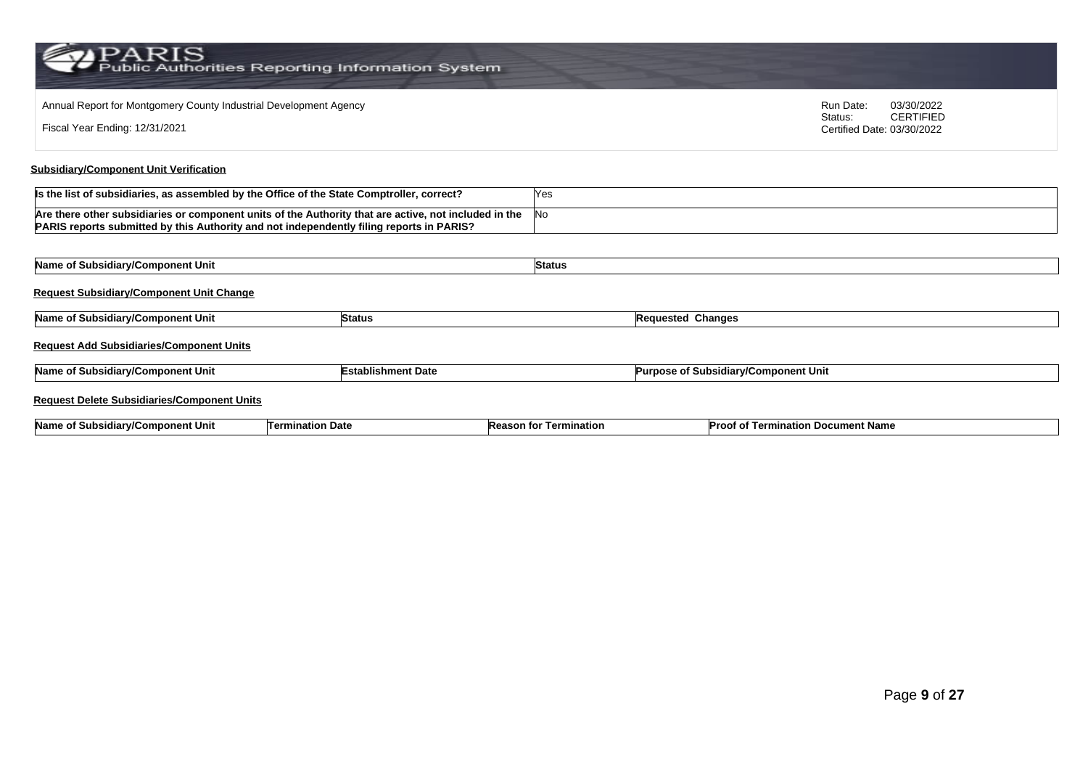| Annual Report for Montgomery County Industrial Development Agency<br>Run Date:<br>Status:                                                                                                         |                           |               |                                             |                            | 03/30/2022<br><b>CERTIFIED</b> |
|---------------------------------------------------------------------------------------------------------------------------------------------------------------------------------------------------|---------------------------|---------------|---------------------------------------------|----------------------------|--------------------------------|
| Fiscal Year Ending: 12/31/2021                                                                                                                                                                    |                           |               |                                             | Certified Date: 03/30/2022 |                                |
| <b>Subsidiary/Component Unit Verification</b>                                                                                                                                                     |                           |               |                                             |                            |                                |
| Is the list of subsidiaries, as assembled by the Office of the State Comptroller, correct?                                                                                                        |                           | Yes           |                                             |                            |                                |
| Are there other subsidiaries or component units of the Authority that are active, not included in the<br>PARIS reports submitted by this Authority and not independently filing reports in PARIS? |                           | No            |                                             |                            |                                |
|                                                                                                                                                                                                   |                           |               |                                             |                            |                                |
| Name of Subsidiary/Component Unit                                                                                                                                                                 |                           | <b>Status</b> |                                             |                            |                                |
| <b>Request Subsidiary/Component Unit Change</b>                                                                                                                                                   |                           |               |                                             |                            |                                |
| Name of Subsidiary/Component Unit                                                                                                                                                                 | <b>Status</b>             |               | <b>Requested Changes</b>                    |                            |                                |
| <b>Request Add Subsidiaries/Component Units</b>                                                                                                                                                   |                           |               |                                             |                            |                                |
| Name of Subsidiary/Component Unit                                                                                                                                                                 | <b>Establishment Date</b> |               | <b>Purpose of Subsidiary/Component Unit</b> |                            |                                |
| <b>Request Delete Subsidiaries/Component Units</b>                                                                                                                                                |                           |               |                                             |                            |                                |

| <b>Name</b><br>nponent Unit<br>Date<br>unatio <sup>r</sup><br>Term<br>.<br>. ww<br>. | Termination<br>weason for the | ∟ocument Name<br>tion<br>⊥erm<br>ימסזי |  |
|--------------------------------------------------------------------------------------|-------------------------------|----------------------------------------|--|
|--------------------------------------------------------------------------------------|-------------------------------|----------------------------------------|--|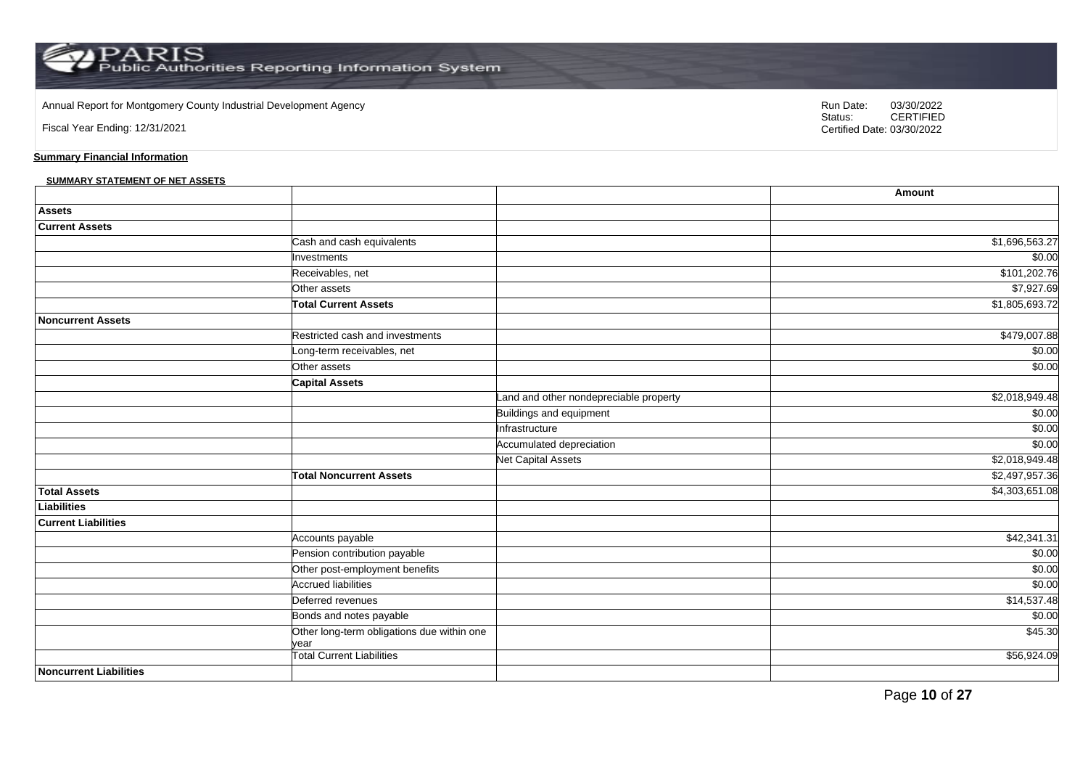Annual Report for Montgomery County Industrial Development Agency<br>
Status: CERTIFIED

Fiscal Year Ending: 12/31/2021

CERTIFIED Certified Date: 03/30/2022

### **Summary Financial Information**

#### **SUMMARY STATEMENT OF NET ASSETS**

|                               |                                                    |                                        | Amount         |
|-------------------------------|----------------------------------------------------|----------------------------------------|----------------|
| <b>Assets</b>                 |                                                    |                                        |                |
| <b>Current Assets</b>         |                                                    |                                        |                |
|                               | Cash and cash equivalents                          |                                        | \$1,696,563.27 |
|                               | Investments                                        |                                        | \$0.00         |
|                               | Receivables, net                                   |                                        | \$101,202.76   |
|                               | Other assets                                       |                                        | \$7,927.69     |
|                               | <b>Total Current Assets</b>                        |                                        | \$1,805,693.72 |
| <b>Noncurrent Assets</b>      |                                                    |                                        |                |
|                               | Restricted cash and investments                    |                                        | \$479,007.88   |
|                               | Long-term receivables, net                         |                                        | \$0.00         |
|                               | Other assets                                       |                                        | \$0.00         |
|                               | <b>Capital Assets</b>                              |                                        |                |
|                               |                                                    | Land and other nondepreciable property | \$2,018,949.48 |
|                               |                                                    | Buildings and equipment                | \$0.00         |
|                               |                                                    | Infrastructure                         | \$0.00         |
|                               |                                                    | Accumulated depreciation               | \$0.00         |
|                               |                                                    | <b>Net Capital Assets</b>              | \$2,018,949.48 |
|                               | <b>Total Noncurrent Assets</b>                     |                                        | \$2,497,957.36 |
| <b>Total Assets</b>           |                                                    |                                        | \$4,303,651.08 |
| <b>Liabilities</b>            |                                                    |                                        |                |
| <b>Current Liabilities</b>    |                                                    |                                        |                |
|                               | Accounts payable                                   |                                        | \$42,341.31    |
|                               | Pension contribution payable                       |                                        | \$0.00         |
|                               | Other post-employment benefits                     |                                        | \$0.00         |
|                               | <b>Accrued liabilities</b>                         |                                        | \$0.00         |
|                               | Deferred revenues                                  |                                        | \$14,537.48    |
|                               | Bonds and notes payable                            |                                        | \$0.00         |
|                               | Other long-term obligations due within one<br>vear |                                        | \$45.30        |
|                               | Total Current Liabilities                          |                                        | \$56,924.09    |
| <b>Noncurrent Liabilities</b> |                                                    |                                        |                |

Page **10** of **27**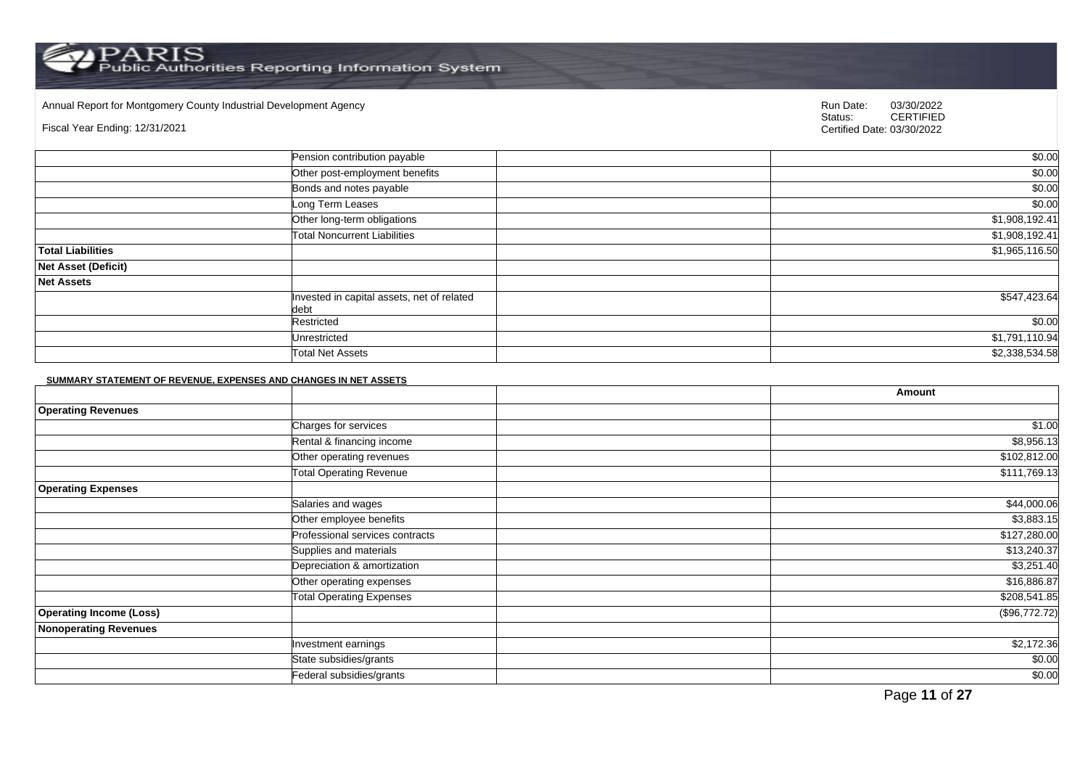Annual Report for Montgomery County Industrial Development Agency<br>
Status: CERTIFIED

Fiscal Year Ending: 12/31/2021

CERTIFIED Certified Date: 03/30/2022

|                            | Pension contribution payable                       | \$0.00         |
|----------------------------|----------------------------------------------------|----------------|
|                            | Other post-employment benefits                     | \$0.00         |
|                            | Bonds and notes payable                            | \$0.00         |
|                            | Long Term Leases                                   | \$0.00         |
|                            | Other long-term obligations                        | \$1,908,192.41 |
|                            | <b>Total Noncurrent Liabilities</b>                | \$1,908,192.41 |
| <b>Total Liabilities</b>   |                                                    | \$1,965,116.50 |
| <b>Net Asset (Deficit)</b> |                                                    |                |
| <b>Net Assets</b>          |                                                    |                |
|                            | Invested in capital assets, net of related<br>debt | \$547,423.64   |
|                            | Restricted                                         | \$0.00         |
|                            | Unrestricted                                       | \$1,791,110.94 |
|                            | <b>Total Net Assets</b>                            | \$2,338,534.58 |

#### **SUMMARY STATEMENT OF REVENUE, EXPENSES AND CHANGES IN NET ASSETS**

|                                |                                 | Amount        |
|--------------------------------|---------------------------------|---------------|
| <b>Operating Revenues</b>      |                                 |               |
|                                | Charges for services            | \$1.00        |
|                                | Rental & financing income       | \$8,956.13    |
|                                | Other operating revenues        | \$102,812.00  |
|                                | <b>Total Operating Revenue</b>  | \$111,769.13  |
| <b>Operating Expenses</b>      |                                 |               |
|                                | Salaries and wages              | \$44,000.06   |
|                                | Other employee benefits         | \$3,883.15    |
|                                | Professional services contracts | \$127,280.00  |
|                                | Supplies and materials          | \$13,240.37   |
|                                | Depreciation & amortization     | \$3,251.40    |
|                                | Other operating expenses        | \$16,886.87   |
|                                | <b>Total Operating Expenses</b> | \$208,541.85  |
| <b>Operating Income (Loss)</b> |                                 | (\$96,772.72) |
| <b>Nonoperating Revenues</b>   |                                 |               |
|                                | Investment earnings             | \$2,172.36    |
|                                | State subsidies/grants          | \$0.00        |
|                                | Federal subsidies/grants        | \$0.00        |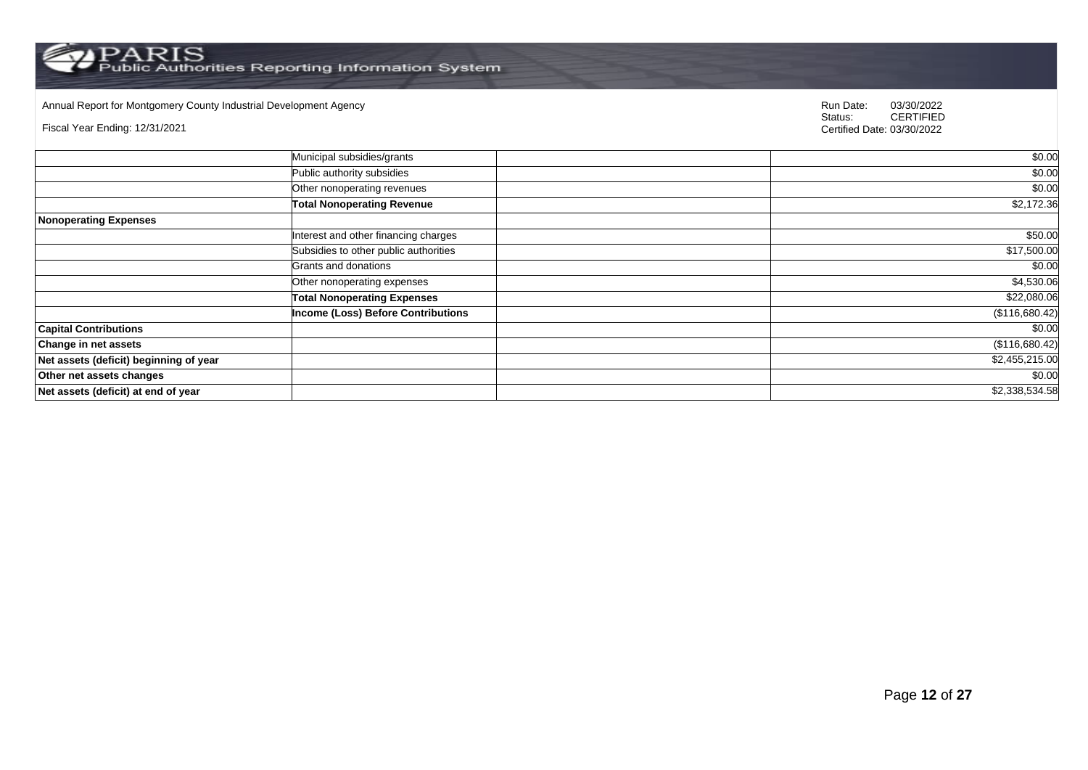Annual Report for Montgomery County Industrial Development Agency<br>
Status: CERTIFIED

Fiscal Year Ending: 12/31/2021

|                                        | Municipal subsidies/grants                | \$0.00         |
|----------------------------------------|-------------------------------------------|----------------|
|                                        | Public authority subsidies                | \$0.00         |
|                                        | Other nonoperating revenues               | \$0.00         |
|                                        | <b>Total Nonoperating Revenue</b>         | \$2,172.36     |
| <b>Nonoperating Expenses</b>           |                                           |                |
|                                        | Interest and other financing charges      | \$50.00        |
|                                        | Subsidies to other public authorities     | \$17,500.00    |
|                                        | Grants and donations                      | \$0.00         |
|                                        | Other nonoperating expenses               | \$4,530.06     |
|                                        | <b>Total Nonoperating Expenses</b>        | \$22,080.06    |
|                                        | <b>Income (Loss) Before Contributions</b> | (\$116,680.42) |
| <b>Capital Contributions</b>           |                                           | \$0.00         |
| <b>Change in net assets</b>            |                                           | (\$116,680.42) |
| Net assets (deficit) beginning of year |                                           | \$2,455,215.00 |
| Other net assets changes               |                                           | \$0.00         |
| Net assets (deficit) at end of year    |                                           | \$2,338,534.58 |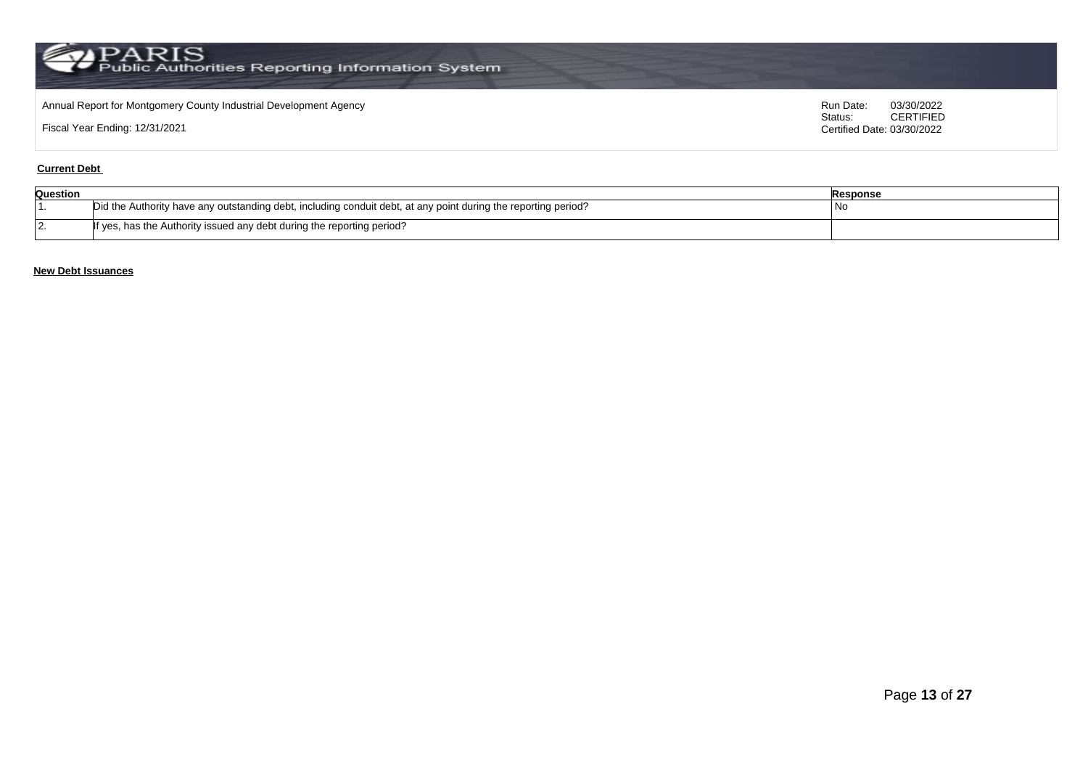## Annual Report for Montgomery County Industrial Development Agency<br>
Status: CERTIFIED

Fiscal Year Ending: 12/31/2021

CERTIFIED Certified Date: 03/30/2022

#### **Current Debt**

| Question |                                                                                                                | Response |
|----------|----------------------------------------------------------------------------------------------------------------|----------|
|          | Did the Authority have any outstanding debt, including conduit debt, at any point during the reporting period? | l No     |
| . .      | If yes, has the Authority issued any debt during the reporting period?                                         |          |

### **New Debt Issuances**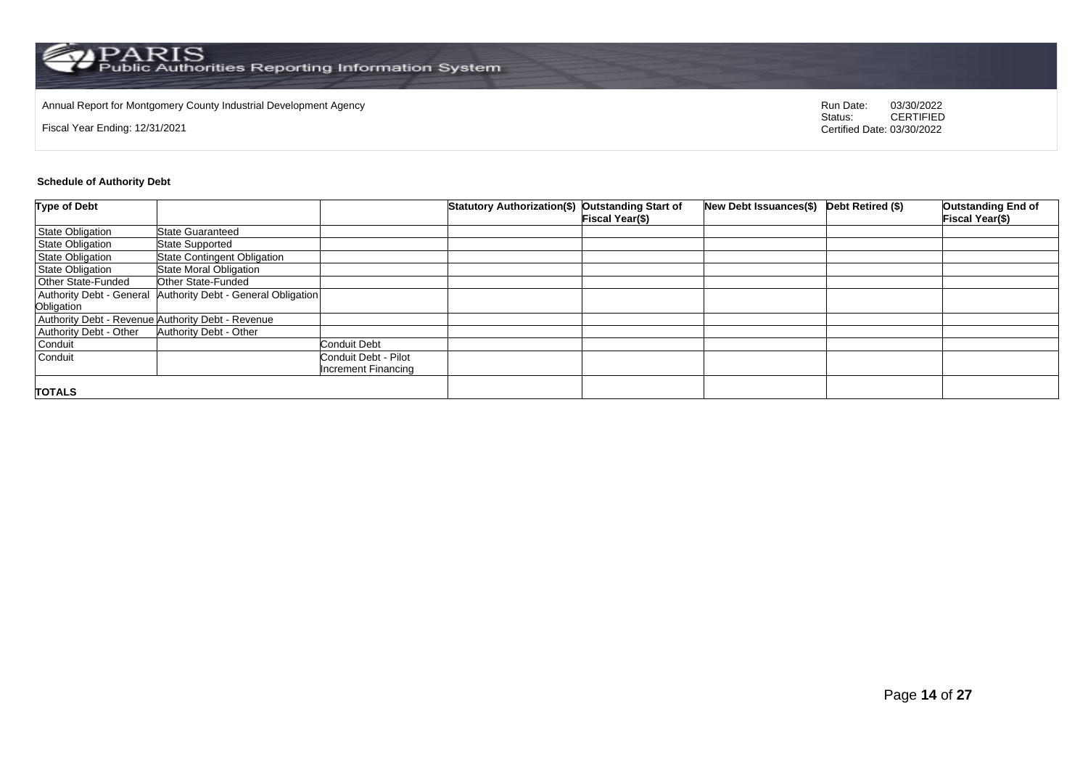## Annual Report for Montgomery County Industrial Development Agency<br>
Status: CERTIFIED

Fiscal Year Ending: 12/31/2021

CERTIFIED Certified Date: 03/30/2022

#### **Schedule of Authority Debt**

| <b>Type of Debt</b>       |                                                   |                      | Statutory Authorization(\$) Outstanding Start of |                 | New Debt Issuances(\$) Debt Retired (\$) | <b>Outstanding End of</b> |
|---------------------------|---------------------------------------------------|----------------------|--------------------------------------------------|-----------------|------------------------------------------|---------------------------|
|                           |                                                   |                      |                                                  | Fiscal Year(\$) |                                          | Fiscal Year(\$)           |
| State Obligation          | <b>State Guaranteed</b>                           |                      |                                                  |                 |                                          |                           |
| <b>State Obligation</b>   | <b>State Supported</b>                            |                      |                                                  |                 |                                          |                           |
| <b>State Obligation</b>   | <b>State Contingent Obligation</b>                |                      |                                                  |                 |                                          |                           |
| <b>State Obligation</b>   | <b>State Moral Obligation</b>                     |                      |                                                  |                 |                                          |                           |
| <b>Other State-Funded</b> | Other State-Funded                                |                      |                                                  |                 |                                          |                           |
| Authority Debt - General  | Authority Debt - General Obligation               |                      |                                                  |                 |                                          |                           |
| Obligation                |                                                   |                      |                                                  |                 |                                          |                           |
|                           | Authority Debt - Revenue Authority Debt - Revenue |                      |                                                  |                 |                                          |                           |
| Authority Debt - Other    | <b>Authority Debt - Other</b>                     |                      |                                                  |                 |                                          |                           |
| Conduit                   |                                                   | <b>Conduit Debt</b>  |                                                  |                 |                                          |                           |
| Conduit                   |                                                   | Conduit Debt - Pilot |                                                  |                 |                                          |                           |
|                           |                                                   | Increment Financing  |                                                  |                 |                                          |                           |
|                           |                                                   |                      |                                                  |                 |                                          |                           |
| <b>TOTALS</b>             |                                                   |                      |                                                  |                 |                                          |                           |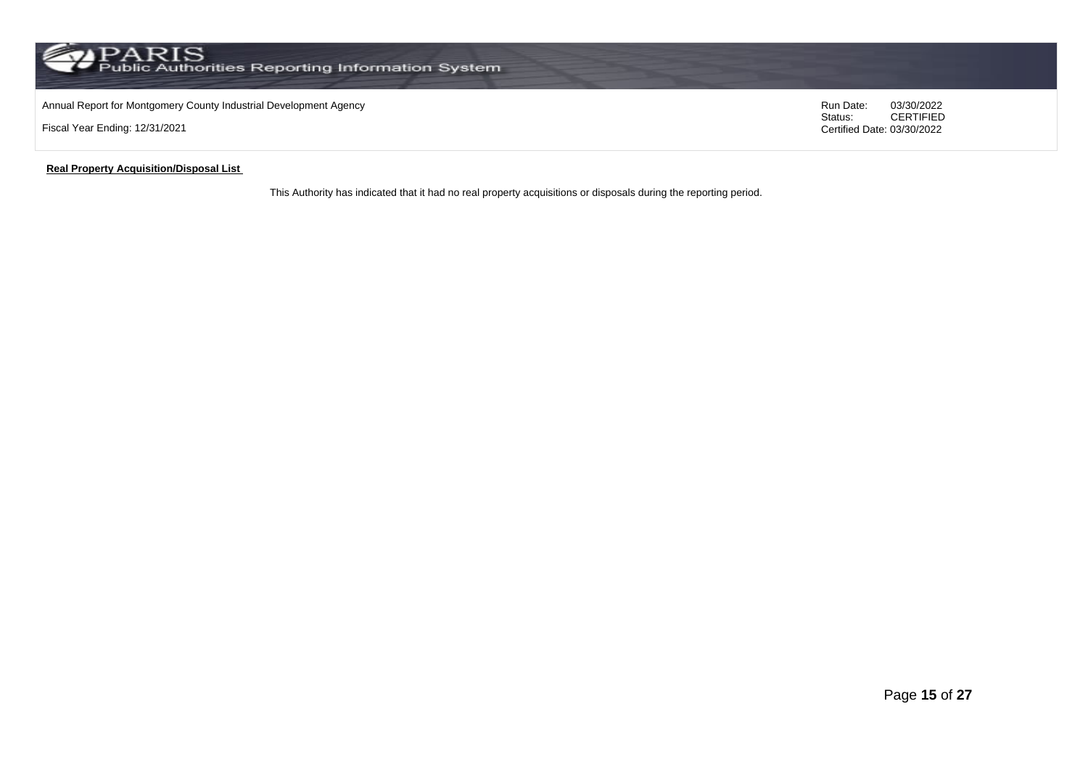## Annual Report for Montgomery County Industrial Development Agency<br>
Status: CERTIFIED

Fiscal Year Ending: 12/31/2021

CERTIFIED Certified Date: 03/30/2022

#### **Real Property Acquisition/Disposal List**

This Authority has indicated that it had no real property acquisitions or disposals during the reporting period.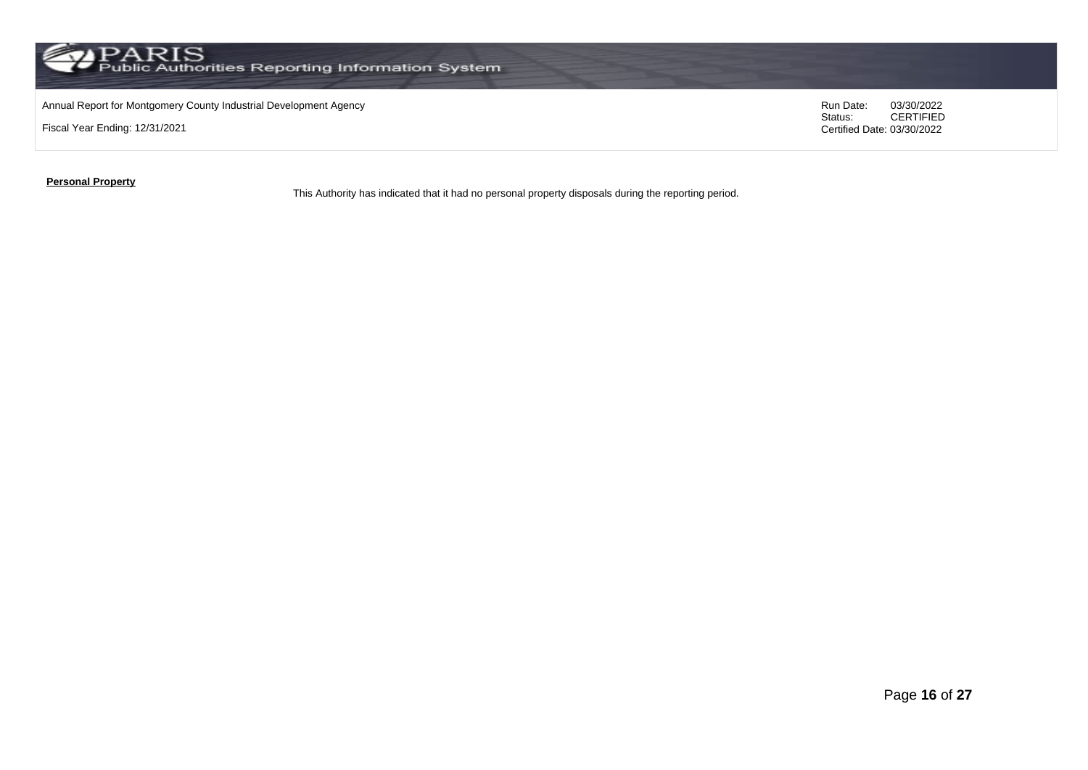Annual Report for Montgomery County Industrial Development Agency<br>
Status: CERTIFIED

Fiscal Year Ending: 12/31/2021

CERTIFIED Certified Date: 03/30/2022

**Personal Property**

This Authority has indicated that it had no personal property disposals during the reporting period.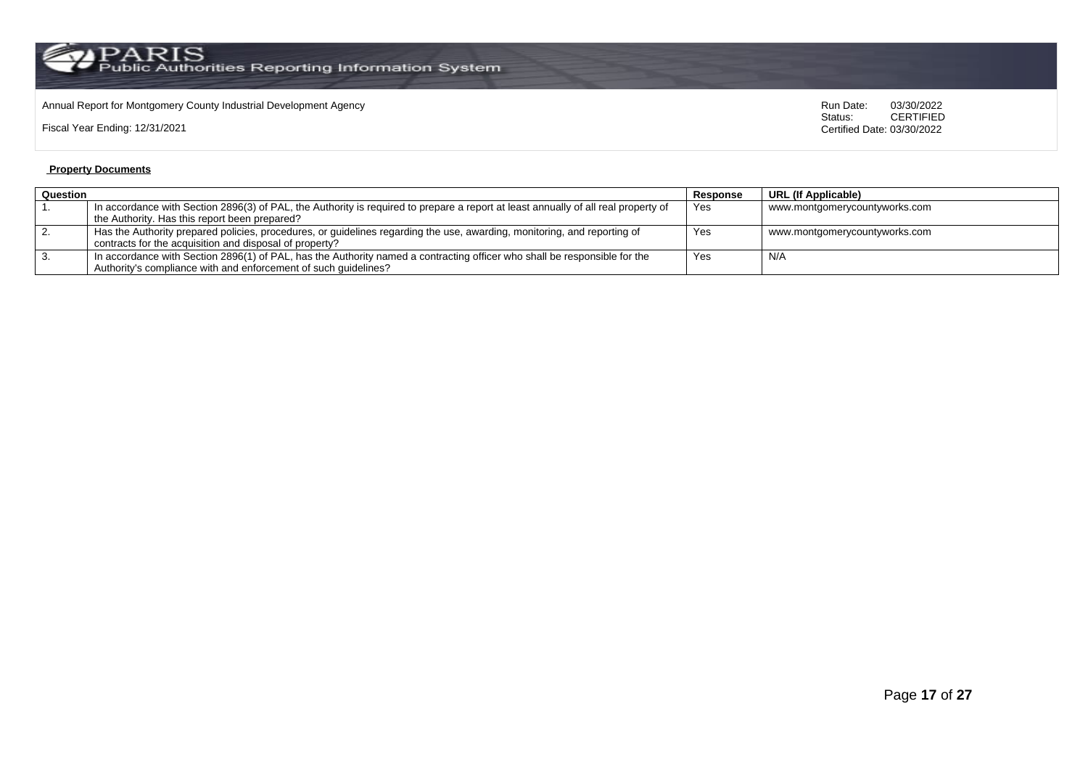# Annual Report for Montgomery County Industrial Development Agency<br>
Status: CERTIFIED

Fiscal Year Ending: 12/31/2021

CERTIFIED Certified Date: 03/30/2022

#### **Property Documents**

| Question |                                                                                                                                    | Response | URL (If Applicable)           |
|----------|------------------------------------------------------------------------------------------------------------------------------------|----------|-------------------------------|
|          | In accordance with Section 2896(3) of PAL, the Authority is required to prepare a report at least annually of all real property of | Yes      | www.montgomerycountyworks.com |
|          | the Authority. Has this report been prepared?                                                                                      |          |                               |
|          | Has the Authority prepared policies, procedures, or guidelines regarding the use, awarding, monitoring, and reporting of           | Yes      | www.montgomerycountyworks.com |
|          | contracts for the acquisition and disposal of property?                                                                            |          |                               |
|          | In accordance with Section 2896(1) of PAL, has the Authority named a contracting officer who shall be responsible for the          | Yes      | N/A                           |
|          | Authority's compliance with and enforcement of such quidelines?                                                                    |          |                               |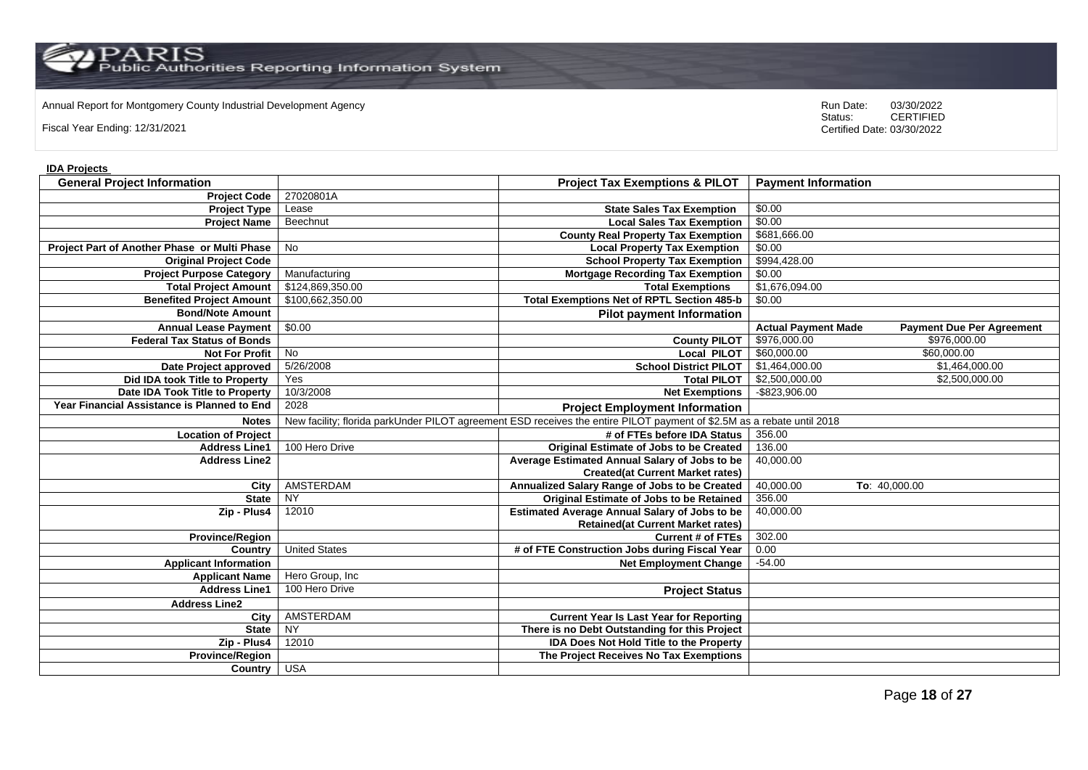Annual Report for Montgomery County Industrial Development Agency<br>
Status: CERTIFIED

Fiscal Year Ending: 12/31/2021

CERTIFIED Certified Date: 03/30/2022

#### **IDA Projects**

| <b>General Project Information</b>           |                      | <b>Project Tax Exemptions &amp; PILOT</b>                                                                              | <b>Payment Information</b> |                                  |
|----------------------------------------------|----------------------|------------------------------------------------------------------------------------------------------------------------|----------------------------|----------------------------------|
| <b>Project Code</b>                          | 27020801A            |                                                                                                                        |                            |                                  |
| <b>Project Type</b>                          | Lease                | <b>State Sales Tax Exemption</b>                                                                                       | \$0.00                     |                                  |
| <b>Project Name</b>                          | Beechnut             | <b>Local Sales Tax Exemption</b>                                                                                       | \$0.00                     |                                  |
|                                              |                      | <b>County Real Property Tax Exemption</b>                                                                              | \$681,666.00               |                                  |
| Project Part of Another Phase or Multi Phase | <b>No</b>            | <b>Local Property Tax Exemption</b>                                                                                    | \$0.00                     |                                  |
| <b>Original Project Code</b>                 |                      | <b>School Property Tax Exemption</b>                                                                                   | \$994,428.00               |                                  |
| <b>Project Purpose Category</b>              | Manufacturing        | <b>Mortgage Recording Tax Exemption</b>                                                                                | \$0.00                     |                                  |
| <b>Total Project Amount</b>                  | \$124,869,350.00     | <b>Total Exemptions</b>                                                                                                | \$1,676,094.00             |                                  |
| <b>Benefited Project Amount</b>              | \$100,662,350.00     | <b>Total Exemptions Net of RPTL Section 485-b</b>                                                                      | \$0.00                     |                                  |
| <b>Bond/Note Amount</b>                      |                      | <b>Pilot payment Information</b>                                                                                       |                            |                                  |
| <b>Annual Lease Payment</b>                  | \$0.00               |                                                                                                                        | <b>Actual Payment Made</b> | <b>Payment Due Per Agreement</b> |
| <b>Federal Tax Status of Bonds</b>           |                      | <b>County PILOT</b>                                                                                                    | \$976,000.00               | \$976,000.00                     |
| <b>Not For Profit</b>                        | $\overline{N}$       | <b>Local PILOT</b>                                                                                                     | \$60,000.00                | \$60,000.00                      |
| Date Project approved                        | 5/26/2008            | <b>School District PILOT</b>                                                                                           | \$1,464,000.00             | \$1,464,000.00                   |
| Did IDA took Title to Property               | Yes                  | <b>Total PILOT</b>                                                                                                     | \$2,500,000.00             | \$2,500,000.00                   |
| Date IDA Took Title to Property              | 10/3/2008            | <b>Net Exemptions</b>                                                                                                  | -\$823,906.00              |                                  |
| Year Financial Assistance is Planned to End  | 2028                 | <b>Project Employment Information</b>                                                                                  |                            |                                  |
| <b>Notes</b>                                 |                      | New facility; florida parkUnder PILOT agreement ESD receives the entire PILOT payment of \$2.5M as a rebate until 2018 |                            |                                  |
| <b>Location of Project</b>                   |                      | # of FTEs before IDA Status                                                                                            | 356.00                     |                                  |
| <b>Address Line1</b>                         | 100 Hero Drive       | <b>Original Estimate of Jobs to be Created</b>                                                                         | 136.00                     |                                  |
| <b>Address Line2</b>                         |                      | Average Estimated Annual Salary of Jobs to be                                                                          | 40,000.00                  |                                  |
|                                              |                      | <b>Created(at Current Market rates)</b>                                                                                |                            |                                  |
| City                                         | AMSTERDAM            | Annualized Salary Range of Jobs to be Created                                                                          | 40,000.00                  | To: 40,000.00                    |
| <b>State</b>                                 | <b>NY</b>            | Original Estimate of Jobs to be Retained                                                                               | 356.00                     |                                  |
| Zip - Plus4                                  | 12010                | <b>Estimated Average Annual Salary of Jobs to be</b>                                                                   | 40,000.00                  |                                  |
|                                              |                      | <b>Retained(at Current Market rates)</b>                                                                               |                            |                                  |
| <b>Province/Region</b>                       |                      | <b>Current # of FTEs</b>                                                                                               | 302.00                     |                                  |
| Country                                      | <b>United States</b> | # of FTE Construction Jobs during Fiscal Year                                                                          | 0.00                       |                                  |
| <b>Applicant Information</b>                 |                      | <b>Net Employment Change</b>                                                                                           | $-54.00$                   |                                  |
| <b>Applicant Name</b>                        | Hero Group, Inc      |                                                                                                                        |                            |                                  |
| <b>Address Line1</b>                         | 100 Hero Drive       | <b>Project Status</b>                                                                                                  |                            |                                  |
| <b>Address Line2</b>                         |                      |                                                                                                                        |                            |                                  |
| City                                         | AMSTERDAM            | <b>Current Year Is Last Year for Reporting</b>                                                                         |                            |                                  |
| <b>State</b>                                 | $\overline{NY}$      | There is no Debt Outstanding for this Project                                                                          |                            |                                  |
| Zip - Plus4                                  | 12010                | <b>IDA Does Not Hold Title to the Property</b>                                                                         |                            |                                  |
| <b>Province/Region</b>                       |                      | The Project Receives No Tax Exemptions                                                                                 |                            |                                  |
| Country USA                                  |                      |                                                                                                                        |                            |                                  |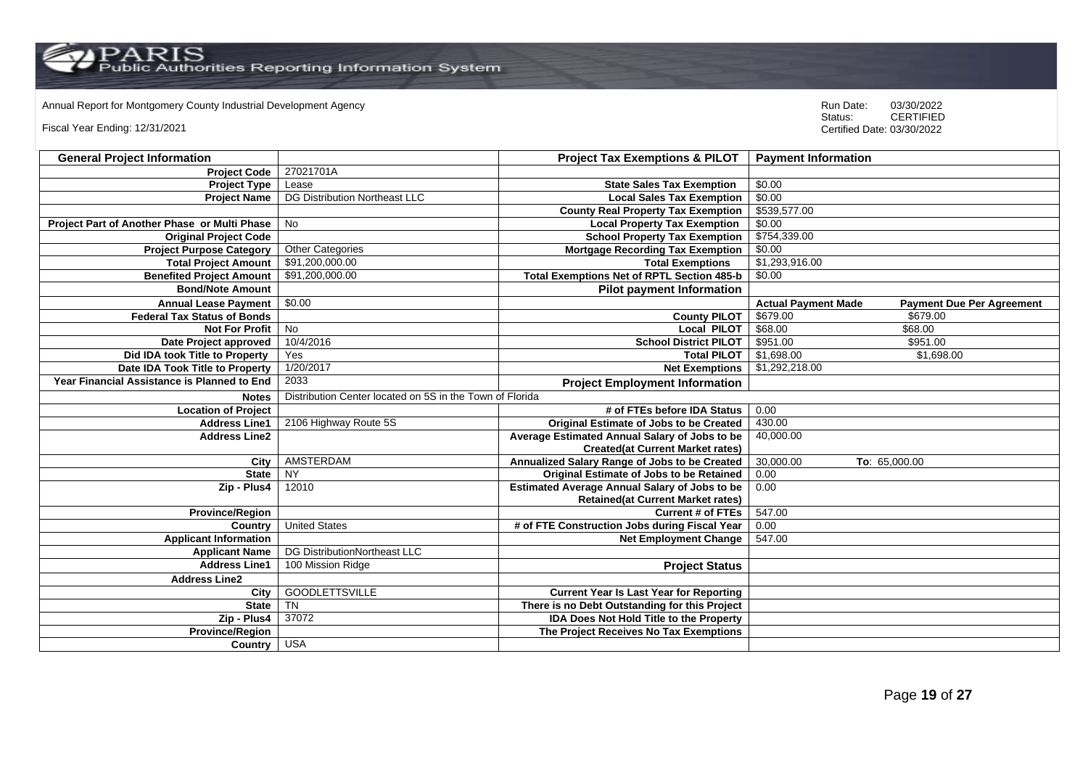Annual Report for Montgomery County Industrial Development Agency<br>
Status: CERTIFIED

Fiscal Year Ending: 12/31/2021

| <b>General Project Information</b>           |                                                          | <b>Project Tax Exemptions &amp; PILOT</b>            | <b>Payment Information</b>                                     |
|----------------------------------------------|----------------------------------------------------------|------------------------------------------------------|----------------------------------------------------------------|
| <b>Project Code</b>                          | 27021701A                                                |                                                      |                                                                |
| <b>Project Type</b>                          | Lease                                                    | <b>State Sales Tax Exemption</b>                     | \$0.00                                                         |
| <b>Project Name</b>                          | <b>DG Distribution Northeast LLC</b>                     | <b>Local Sales Tax Exemption</b>                     | \$0.00                                                         |
|                                              |                                                          | <b>County Real Property Tax Exemption</b>            | \$539,577.00                                                   |
| Project Part of Another Phase or Multi Phase | No                                                       | <b>Local Property Tax Exemption</b>                  | \$0.00                                                         |
| <b>Original Project Code</b>                 |                                                          | <b>School Property Tax Exemption</b>                 | \$754,339.00                                                   |
| <b>Project Purpose Category</b>              | <b>Other Categories</b>                                  | <b>Mortgage Recording Tax Exemption</b>              | \$0.00                                                         |
| <b>Total Project Amount</b>                  | \$91,200,000.00                                          | <b>Total Exemptions</b>                              | \$1,293,916.00                                                 |
| <b>Benefited Project Amount</b>              | \$91,200,000.00                                          | <b>Total Exemptions Net of RPTL Section 485-b</b>    | \$0.00                                                         |
| <b>Bond/Note Amount</b>                      |                                                          | <b>Pilot payment Information</b>                     |                                                                |
| <b>Annual Lease Payment</b>                  | \$0.00                                                   |                                                      | <b>Actual Payment Made</b><br><b>Payment Due Per Agreement</b> |
| <b>Federal Tax Status of Bonds</b>           |                                                          | <b>County PILOT</b>                                  | \$679.00<br>\$679.00                                           |
| <b>Not For Profit</b>                        | No                                                       | <b>Local PILOT</b>                                   | \$68.00<br>\$68.00                                             |
| Date Project approved                        | 10/4/2016                                                | <b>School District PILOT</b>                         | \$951.00<br>\$951.00                                           |
| Did IDA took Title to Property               | Yes                                                      | <b>Total PILOT</b>                                   | \$1,698.00<br>\$1,698.00                                       |
| Date IDA Took Title to Property              | 1/20/2017                                                | <b>Net Exemptions</b>                                | \$1,292,218.00                                                 |
| Year Financial Assistance is Planned to End  | 2033                                                     | <b>Project Employment Information</b>                |                                                                |
| <b>Notes</b>                                 | Distribution Center located on 5S in the Town of Florida |                                                      |                                                                |
| <b>Location of Project</b>                   |                                                          | # of FTEs before IDA Status                          | 0.00                                                           |
| <b>Address Line1</b>                         | 2106 Highway Route 5S                                    | Original Estimate of Jobs to be Created              | 430.00                                                         |
| <b>Address Line2</b>                         |                                                          | Average Estimated Annual Salary of Jobs to be        | 40,000.00                                                      |
|                                              |                                                          | <b>Created(at Current Market rates)</b>              |                                                                |
| City                                         | AMSTERDAM                                                | Annualized Salary Range of Jobs to be Created        | 30,000.00<br>To: 65,000.00                                     |
| <b>State</b>                                 | <b>NY</b>                                                | Original Estimate of Jobs to be Retained             | 0.00                                                           |
| Zip - Plus4                                  | 12010                                                    | <b>Estimated Average Annual Salary of Jobs to be</b> | 0.00                                                           |
|                                              |                                                          | <b>Retained(at Current Market rates)</b>             |                                                                |
| <b>Province/Region</b>                       |                                                          | <b>Current # of FTEs</b>                             | 547.00                                                         |
| Country                                      | <b>United States</b>                                     | # of FTE Construction Jobs during Fiscal Year        | 0.00                                                           |
| <b>Applicant Information</b>                 |                                                          | <b>Net Employment Change</b>                         | 547.00                                                         |
| <b>Applicant Name</b>                        | DG DistributionNortheast LLC                             |                                                      |                                                                |
| <b>Address Line1</b>                         | 100 Mission Ridge                                        | <b>Project Status</b>                                |                                                                |
| <b>Address Line2</b>                         |                                                          |                                                      |                                                                |
| City                                         | <b>GOODLETTSVILLE</b>                                    | <b>Current Year Is Last Year for Reporting</b>       |                                                                |
| <b>State</b>                                 | $\overline{T}N$                                          | There is no Debt Outstanding for this Project        |                                                                |
| Zip - Plus4                                  | 37072                                                    | <b>IDA Does Not Hold Title to the Property</b>       |                                                                |
| <b>Province/Region</b>                       |                                                          | The Project Receives No Tax Exemptions               |                                                                |
| Country USA                                  |                                                          |                                                      |                                                                |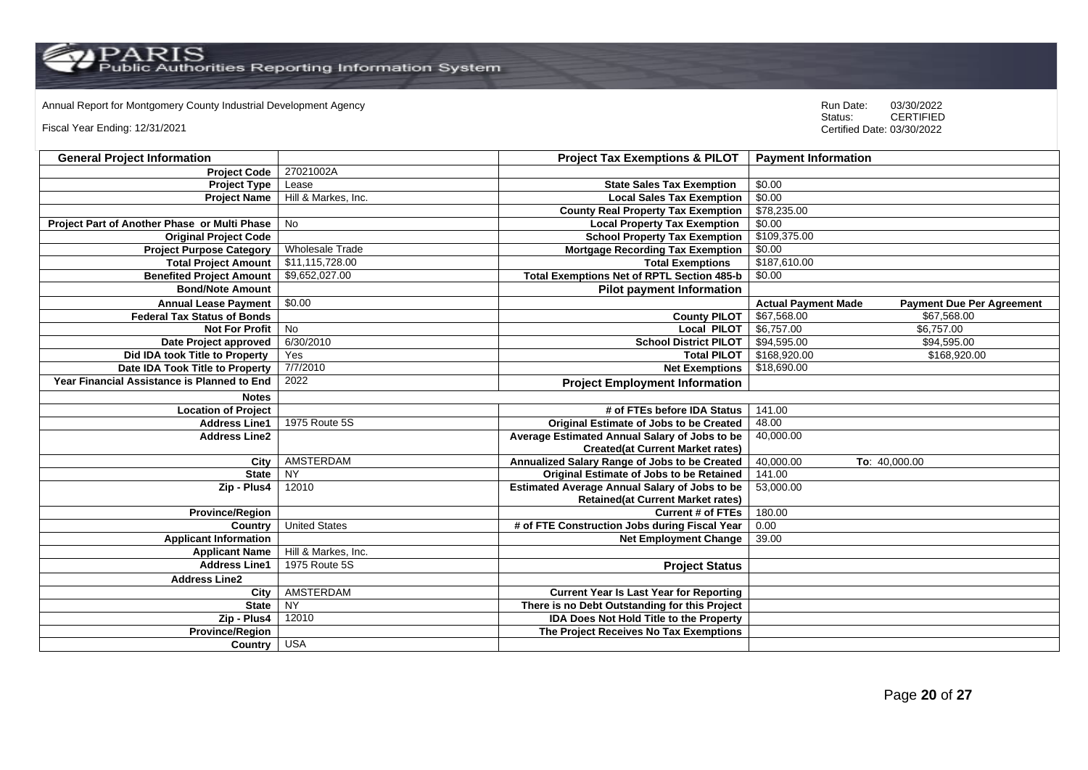$\operatorname{PARIS}_{\text{Public Authors}}$  Reporting Information System

Annual Report for Montgomery County Industrial Development Agency<br>
Status: CERTIFIED

Fiscal Year Ending: 12/31/2021

| <b>General Project Information</b>           |                        | <b>Project Tax Exemptions &amp; PILOT</b>            | <b>Payment Information</b>                                     |
|----------------------------------------------|------------------------|------------------------------------------------------|----------------------------------------------------------------|
| <b>Project Code</b>                          | 27021002A              |                                                      |                                                                |
| <b>Project Type</b>                          | Lease                  | <b>State Sales Tax Exemption</b>                     | \$0.00                                                         |
| <b>Project Name</b>                          | Hill & Markes, Inc.    | <b>Local Sales Tax Exemption</b>                     | \$0.00                                                         |
|                                              |                        | <b>County Real Property Tax Exemption</b>            | \$78,235.00                                                    |
| Project Part of Another Phase or Multi Phase | <b>No</b>              | <b>Local Property Tax Exemption</b>                  | \$0.00                                                         |
| <b>Original Project Code</b>                 |                        | <b>School Property Tax Exemption</b>                 | \$109,375.00                                                   |
| <b>Project Purpose Category</b>              | <b>Wholesale Trade</b> | <b>Mortgage Recording Tax Exemption</b>              | \$0.00                                                         |
| <b>Total Project Amount</b>                  | \$11,115,728.00        | <b>Total Exemptions</b>                              | \$187,610.00                                                   |
| <b>Benefited Project Amount</b>              | \$9,652,027.00         | <b>Total Exemptions Net of RPTL Section 485-b</b>    | \$0.00                                                         |
| <b>Bond/Note Amount</b>                      |                        | <b>Pilot payment Information</b>                     |                                                                |
| <b>Annual Lease Payment</b>                  | \$0.00                 |                                                      | <b>Actual Payment Made</b><br><b>Payment Due Per Agreement</b> |
| <b>Federal Tax Status of Bonds</b>           |                        | <b>County PILOT</b>                                  | \$67,568.00<br>\$67,568.00                                     |
| <b>Not For Profit</b>                        | <b>No</b>              | <b>Local PILOT</b>                                   | \$6,757.00<br>\$6,757.00                                       |
| Date Project approved                        | 6/30/2010              | <b>School District PILOT</b>                         | \$94,595.00<br>\$94,595.00                                     |
| Did IDA took Title to Property               | Yes                    | <b>Total PILOT</b>                                   | \$168,920.00<br>\$168,920.00                                   |
| Date IDA Took Title to Property              | 7/7/2010               | <b>Net Exemptions</b>                                | \$18,690.00                                                    |
| Year Financial Assistance is Planned to End  | 2022                   | <b>Project Employment Information</b>                |                                                                |
| <b>Notes</b>                                 |                        |                                                      |                                                                |
| <b>Location of Project</b>                   |                        | # of FTEs before IDA Status                          | 141.00                                                         |
| <b>Address Line1</b>                         | 1975 Route 5S          | <b>Original Estimate of Jobs to be Created</b>       | 48.00                                                          |
| <b>Address Line2</b>                         |                        | Average Estimated Annual Salary of Jobs to be        | 40,000.00                                                      |
|                                              |                        | <b>Created(at Current Market rates)</b>              |                                                                |
| City                                         | AMSTERDAM              | Annualized Salary Range of Jobs to be Created        | 40,000.00<br>To: 40,000.00                                     |
| <b>State</b>                                 | <b>NY</b>              | Original Estimate of Jobs to be Retained             | 141.00                                                         |
| Zip - Plus4                                  | 12010                  | <b>Estimated Average Annual Salary of Jobs to be</b> | 53,000.00                                                      |
|                                              |                        | <b>Retained(at Current Market rates)</b>             |                                                                |
| <b>Province/Region</b>                       |                        | <b>Current # of FTEs</b>                             | 180.00                                                         |
| Country                                      | <b>United States</b>   | # of FTE Construction Jobs during Fiscal Year        | 0.00                                                           |
| <b>Applicant Information</b>                 |                        | <b>Net Employment Change</b>                         | 39.00                                                          |
| <b>Applicant Name</b>                        | Hill & Markes, Inc.    |                                                      |                                                                |
| <b>Address Line1</b>                         | 1975 Route 5S          | <b>Project Status</b>                                |                                                                |
| <b>Address Line2</b>                         |                        |                                                      |                                                                |
| City                                         | AMSTERDAM              | <b>Current Year Is Last Year for Reporting</b>       |                                                                |
| <b>State</b>                                 | <b>NY</b>              | There is no Debt Outstanding for this Project        |                                                                |
| Zip - Plus4                                  | 12010                  | <b>IDA Does Not Hold Title to the Property</b>       |                                                                |
| <b>Province/Region</b>                       |                        | The Project Receives No Tax Exemptions               |                                                                |
| Country                                      | <b>USA</b>             |                                                      |                                                                |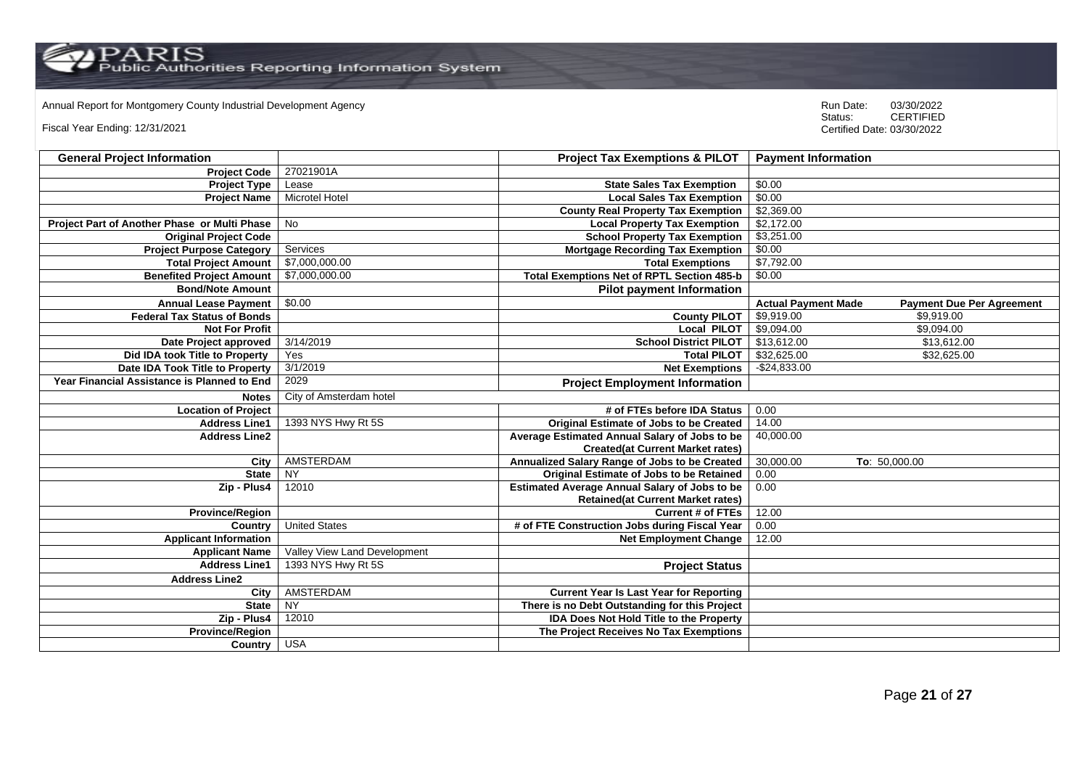$\operatorname{PARIS}_{\text{Public Authors}}$  Reporting Information System

Annual Report for Montgomery County Industrial Development Agency<br>
Status: CERTIFIED

Fiscal Year Ending: 12/31/2021

| <b>General Project Information</b>           |                              | <b>Project Tax Exemptions &amp; PILOT</b>            | <b>Payment Information</b>                                     |  |
|----------------------------------------------|------------------------------|------------------------------------------------------|----------------------------------------------------------------|--|
| <b>Project Code</b>                          | 27021901A                    |                                                      |                                                                |  |
| <b>Project Type</b>                          | Lease                        | <b>State Sales Tax Exemption</b>                     | \$0.00                                                         |  |
| <b>Project Name</b>                          | <b>Microtel Hotel</b>        | <b>Local Sales Tax Exemption</b>                     | \$0.00                                                         |  |
|                                              |                              | <b>County Real Property Tax Exemption</b>            | \$2,369.00                                                     |  |
| Project Part of Another Phase or Multi Phase | <b>No</b>                    | <b>Local Property Tax Exemption</b>                  | \$2,172.00                                                     |  |
| <b>Original Project Code</b>                 |                              | <b>School Property Tax Exemption</b>                 | \$3,251.00                                                     |  |
| <b>Project Purpose Category</b>              | Services                     | <b>Mortgage Recording Tax Exemption</b>              | \$0.00                                                         |  |
| <b>Total Project Amount</b>                  | \$7,000,000.00               | <b>Total Exemptions</b>                              | \$7,792.00                                                     |  |
| <b>Benefited Project Amount</b>              | \$7,000,000.00               | <b>Total Exemptions Net of RPTL Section 485-b</b>    | \$0.00                                                         |  |
| <b>Bond/Note Amount</b>                      |                              | <b>Pilot payment Information</b>                     |                                                                |  |
| <b>Annual Lease Payment</b>                  | \$0.00                       |                                                      | <b>Actual Payment Made</b><br><b>Payment Due Per Agreement</b> |  |
| <b>Federal Tax Status of Bonds</b>           |                              | <b>County PILOT</b>                                  | \$9,919.00<br>\$9,919.00                                       |  |
| <b>Not For Profit</b>                        |                              | <b>Local PILOT</b>                                   | \$9,094.00<br>\$9,094.00                                       |  |
| Date Project approved                        | 3/14/2019                    | <b>School District PILOT</b>                         | \$13,612.00<br>\$13,612.00                                     |  |
| Did IDA took Title to Property               | Yes                          | <b>Total PILOT</b>                                   | \$32,625.00<br>\$32,625.00                                     |  |
| Date IDA Took Title to Property              | 3/1/2019                     | <b>Net Exemptions</b>                                | $-$24,833.00$                                                  |  |
| Year Financial Assistance is Planned to End  | 2029                         | <b>Project Employment Information</b>                |                                                                |  |
| <b>Notes</b>                                 | City of Amsterdam hotel      |                                                      |                                                                |  |
| <b>Location of Project</b>                   |                              | # of FTEs before IDA Status                          | 0.00                                                           |  |
| <b>Address Line1</b>                         | 1393 NYS Hwy Rt 5S           | <b>Original Estimate of Jobs to be Created</b>       | 14.00                                                          |  |
| <b>Address Line2</b>                         |                              | Average Estimated Annual Salary of Jobs to be        | 40,000.00                                                      |  |
|                                              |                              | <b>Created(at Current Market rates)</b>              |                                                                |  |
| City                                         | AMSTERDAM                    | Annualized Salary Range of Jobs to be Created        | 30,000.00<br>To: 50,000.00                                     |  |
| <b>State</b>                                 | <b>NY</b>                    | Original Estimate of Jobs to be Retained             | 0.00                                                           |  |
| Zip - Plus4                                  | 12010                        | <b>Estimated Average Annual Salary of Jobs to be</b> | 0.00                                                           |  |
|                                              |                              | <b>Retained(at Current Market rates)</b>             |                                                                |  |
| <b>Province/Region</b>                       |                              | <b>Current # of FTEs</b>                             | 12.00                                                          |  |
| Country                                      | <b>United States</b>         | # of FTE Construction Jobs during Fiscal Year        | 0.00                                                           |  |
| <b>Applicant Information</b>                 |                              | <b>Net Employment Change</b>                         | 12.00                                                          |  |
| <b>Applicant Name</b>                        | Valley View Land Development |                                                      |                                                                |  |
| <b>Address Line1</b>                         | 1393 NYS Hwy Rt 5S           | <b>Project Status</b>                                |                                                                |  |
| <b>Address Line2</b>                         |                              |                                                      |                                                                |  |
| City                                         | AMSTERDAM                    | <b>Current Year Is Last Year for Reporting</b>       |                                                                |  |
| <b>State</b>                                 | $\overline{NY}$              | There is no Debt Outstanding for this Project        |                                                                |  |
| Zip - Plus4                                  | 12010                        | <b>IDA Does Not Hold Title to the Property</b>       |                                                                |  |
| <b>Province/Region</b>                       |                              | The Project Receives No Tax Exemptions               |                                                                |  |
| Country                                      | <b>USA</b>                   |                                                      |                                                                |  |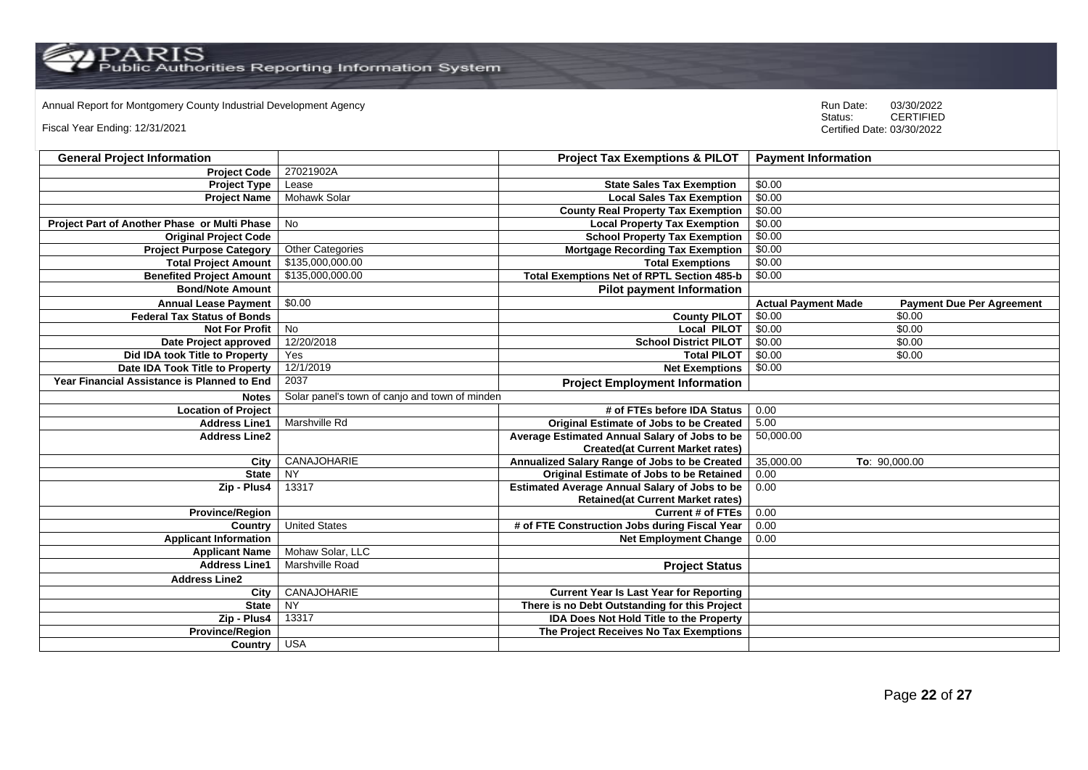Annual Report for Montgomery County Industrial Development Agency<br>
Status: CERTIFIED

Fiscal Year Ending: 12/31/2021

| <b>General Project Information</b>           |                                                | <b>Project Tax Exemptions &amp; PILOT</b>            | <b>Payment Information</b>                                     |
|----------------------------------------------|------------------------------------------------|------------------------------------------------------|----------------------------------------------------------------|
| <b>Project Code</b>                          | 27021902A                                      |                                                      |                                                                |
| <b>Project Type</b>                          | Lease                                          | <b>State Sales Tax Exemption</b>                     | \$0.00                                                         |
| <b>Project Name</b>                          | <b>Mohawk Solar</b>                            | <b>Local Sales Tax Exemption</b>                     | \$0.00                                                         |
|                                              |                                                | <b>County Real Property Tax Exemption</b>            | \$0.00                                                         |
| Project Part of Another Phase or Multi Phase | <b>No</b>                                      | <b>Local Property Tax Exemption</b>                  | \$0.00                                                         |
| <b>Original Project Code</b>                 |                                                | <b>School Property Tax Exemption</b>                 | \$0.00                                                         |
| <b>Project Purpose Category</b>              | Other Categories                               | <b>Mortgage Recording Tax Exemption</b>              | \$0.00                                                         |
| <b>Total Project Amount</b>                  | \$135,000,000.00                               | <b>Total Exemptions</b>                              | \$0.00                                                         |
| <b>Benefited Project Amount</b>              | \$135,000,000.00                               | <b>Total Exemptions Net of RPTL Section 485-b</b>    | \$0.00                                                         |
| <b>Bond/Note Amount</b>                      |                                                | <b>Pilot payment Information</b>                     |                                                                |
| <b>Annual Lease Payment</b>                  | \$0.00                                         |                                                      | <b>Actual Payment Made</b><br><b>Payment Due Per Agreement</b> |
| <b>Federal Tax Status of Bonds</b>           |                                                | <b>County PILOT</b>                                  | \$0.00<br>\$0.00                                               |
| <b>Not For Profit</b>                        | <b>No</b>                                      | <b>Local PILOT</b>                                   | \$0.00<br>\$0.00                                               |
| Date Project approved                        | 12/20/2018                                     | <b>School District PILOT</b>                         | \$0.00<br>\$0.00                                               |
| Did IDA took Title to Property               | Yes                                            | <b>Total PILOT</b>                                   | \$0.00<br>\$0.00                                               |
| Date IDA Took Title to Property              | 12/1/2019                                      | <b>Net Exemptions</b>                                | \$0.00                                                         |
| Year Financial Assistance is Planned to End  | 2037                                           | <b>Project Employment Information</b>                |                                                                |
| <b>Notes</b>                                 | Solar panel's town of canjo and town of minden |                                                      |                                                                |
| <b>Location of Project</b>                   |                                                | # of FTEs before IDA Status                          | 0.00                                                           |
| <b>Address Line1</b>                         | Marshville Rd                                  | <b>Original Estimate of Jobs to be Created</b>       | 5.00                                                           |
| <b>Address Line2</b>                         |                                                | Average Estimated Annual Salary of Jobs to be        | 50,000.00                                                      |
|                                              |                                                | <b>Created(at Current Market rates)</b>              |                                                                |
| City                                         | CANAJOHARIE                                    | Annualized Salary Range of Jobs to be Created        | 35,000.00<br>To: 90,000.00                                     |
| <b>State</b>                                 | <b>NY</b>                                      | Original Estimate of Jobs to be Retained             | 0.00                                                           |
| Zip - Plus4                                  | 13317                                          | <b>Estimated Average Annual Salary of Jobs to be</b> | 0.00                                                           |
|                                              |                                                | <b>Retained(at Current Market rates)</b>             |                                                                |
| <b>Province/Region</b>                       |                                                | <b>Current # of FTEs</b>                             | 0.00                                                           |
| Country                                      | <b>United States</b>                           | # of FTE Construction Jobs during Fiscal Year        | 0.00                                                           |
| <b>Applicant Information</b>                 |                                                | <b>Net Employment Change</b>                         | 0.00                                                           |
| <b>Applicant Name</b>                        | Mohaw Solar, LLC                               |                                                      |                                                                |
| <b>Address Line1</b>                         | Marshville Road                                | <b>Project Status</b>                                |                                                                |
| <b>Address Line2</b>                         |                                                |                                                      |                                                                |
| City                                         | CANAJOHARIE                                    | <b>Current Year Is Last Year for Reporting</b>       |                                                                |
| <b>State</b>                                 | $\overline{NY}$                                | There is no Debt Outstanding for this Project        |                                                                |
| Zip - Plus4                                  | 13317                                          | <b>IDA Does Not Hold Title to the Property</b>       |                                                                |
| <b>Province/Region</b>                       |                                                | The Project Receives No Tax Exemptions               |                                                                |
| Country                                      | <b>USA</b>                                     |                                                      |                                                                |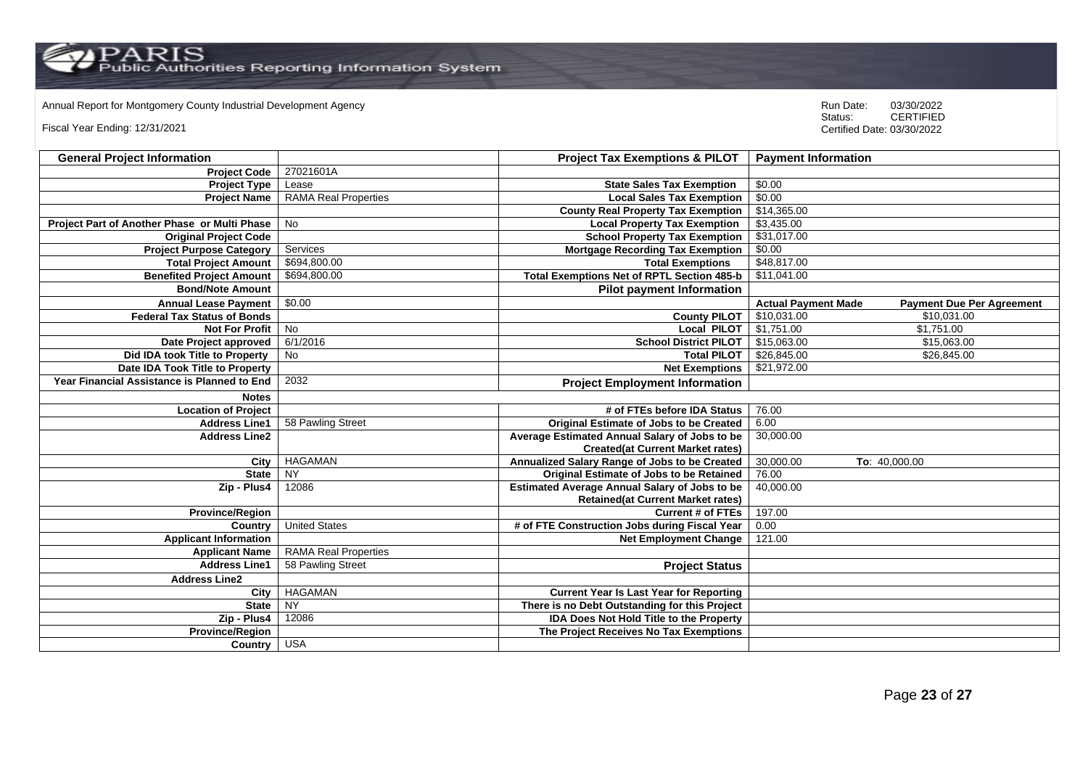$\operatorname{PARIS}_{\text{Public Authors}}$  Reporting Information System

Annual Report for Montgomery County Industrial Development Agency<br>
Status: CERTIFIED

Fiscal Year Ending: 12/31/2021

| <b>General Project Information</b>           |                             | <b>Project Tax Exemptions &amp; PILOT</b>            | <b>Payment Information</b>                                     |  |
|----------------------------------------------|-----------------------------|------------------------------------------------------|----------------------------------------------------------------|--|
| <b>Project Code</b>                          | 27021601A                   |                                                      |                                                                |  |
| <b>Project Type</b>                          | Lease                       | <b>State Sales Tax Exemption</b>                     | \$0.00                                                         |  |
| <b>Project Name</b>                          | <b>RAMA Real Properties</b> | <b>Local Sales Tax Exemption</b>                     | \$0.00                                                         |  |
|                                              |                             | <b>County Real Property Tax Exemption</b>            | \$14,365.00                                                    |  |
| Project Part of Another Phase or Multi Phase | <b>No</b>                   | <b>Local Property Tax Exemption</b>                  | \$3,435.00                                                     |  |
| <b>Original Project Code</b>                 |                             | <b>School Property Tax Exemption</b>                 | \$31,017.00                                                    |  |
| <b>Project Purpose Category</b>              | Services                    | <b>Mortgage Recording Tax Exemption</b>              | \$0.00                                                         |  |
| <b>Total Project Amount</b>                  | \$694,800.00                | <b>Total Exemptions</b>                              | \$48,817.00                                                    |  |
| <b>Benefited Project Amount</b>              | \$694,800.00                | <b>Total Exemptions Net of RPTL Section 485-b</b>    | \$11,041.00                                                    |  |
| <b>Bond/Note Amount</b>                      |                             | <b>Pilot payment Information</b>                     |                                                                |  |
| <b>Annual Lease Payment</b>                  | \$0.00                      |                                                      | <b>Actual Payment Made</b><br><b>Payment Due Per Agreement</b> |  |
| <b>Federal Tax Status of Bonds</b>           |                             | <b>County PILOT</b>                                  | \$10,031.00<br>\$10,031.00                                     |  |
| <b>Not For Profit</b>                        | <b>No</b>                   | <b>Local PILOT</b>                                   | \$1,751.00<br>\$1,751.00                                       |  |
| Date Project approved                        | 6/1/2016                    | <b>School District PILOT</b>                         | \$15,063.00<br>\$15,063.00                                     |  |
| Did IDA took Title to Property               | No                          | <b>Total PILOT</b>                                   | \$26,845.00<br>\$26,845.00                                     |  |
| Date IDA Took Title to Property              |                             | <b>Net Exemptions</b>                                | \$21,972.00                                                    |  |
| Year Financial Assistance is Planned to End  | 2032                        | <b>Project Employment Information</b>                |                                                                |  |
| <b>Notes</b>                                 |                             |                                                      |                                                                |  |
| <b>Location of Project</b>                   |                             | # of FTEs before IDA Status                          | 76.00                                                          |  |
| <b>Address Line1</b>                         | 58 Pawling Street           | <b>Original Estimate of Jobs to be Created</b>       | 6.00                                                           |  |
| <b>Address Line2</b>                         |                             | Average Estimated Annual Salary of Jobs to be        | 30,000.00                                                      |  |
|                                              |                             | <b>Created(at Current Market rates)</b>              |                                                                |  |
| City                                         | <b>HAGAMAN</b>              | Annualized Salary Range of Jobs to be Created        | 30,000.00<br>To: 40,000.00                                     |  |
| <b>State</b>                                 | <b>NY</b>                   | Original Estimate of Jobs to be Retained             | 76.00                                                          |  |
| Zip - Plus4                                  | 12086                       | <b>Estimated Average Annual Salary of Jobs to be</b> | 40,000.00                                                      |  |
|                                              |                             | <b>Retained(at Current Market rates)</b>             |                                                                |  |
| <b>Province/Region</b>                       |                             | <b>Current # of FTEs</b>                             | 197.00                                                         |  |
| Country                                      | <b>United States</b>        | # of FTE Construction Jobs during Fiscal Year        | 0.00                                                           |  |
| <b>Applicant Information</b>                 |                             | <b>Net Employment Change</b>                         | 121.00                                                         |  |
| <b>Applicant Name</b>                        | <b>RAMA Real Properties</b> |                                                      |                                                                |  |
| <b>Address Line1</b>                         | 58 Pawling Street           | <b>Project Status</b>                                |                                                                |  |
| <b>Address Line2</b>                         |                             |                                                      |                                                                |  |
| City                                         | <b>HAGAMAN</b>              | <b>Current Year Is Last Year for Reporting</b>       |                                                                |  |
| <b>State</b>                                 | NY                          | There is no Debt Outstanding for this Project        |                                                                |  |
| Zip - Plus4                                  | 12086                       | <b>IDA Does Not Hold Title to the Property</b>       |                                                                |  |
| <b>Province/Region</b>                       |                             | The Project Receives No Tax Exemptions               |                                                                |  |
| Country                                      | <b>USA</b>                  |                                                      |                                                                |  |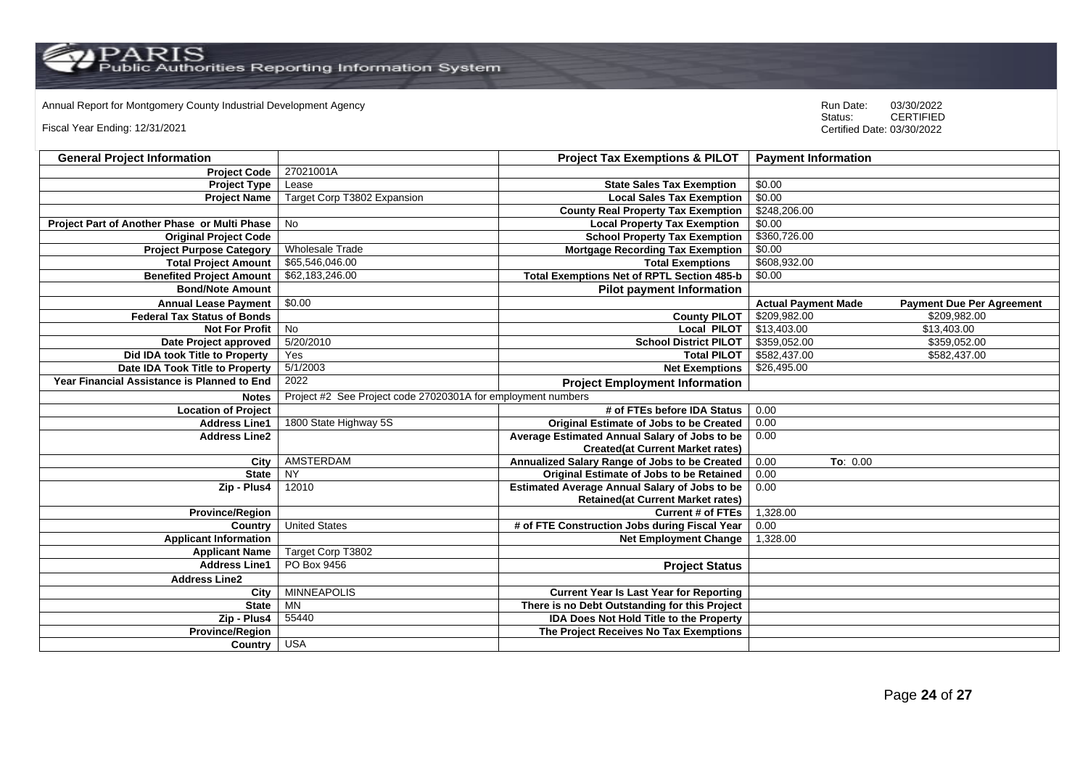Annual Report for Montgomery County Industrial Development Agency<br>
Status: CERTIFIED

Fiscal Year Ending: 12/31/2021

| <b>General Project Information</b>           |                                                              | <b>Project Tax Exemptions &amp; PILOT</b>            | <b>Payment Information</b>   |                                  |
|----------------------------------------------|--------------------------------------------------------------|------------------------------------------------------|------------------------------|----------------------------------|
| <b>Project Code</b>                          | 27021001A                                                    |                                                      |                              |                                  |
| <b>Project Type</b>                          | Lease                                                        | <b>State Sales Tax Exemption</b>                     | \$0.00                       |                                  |
| <b>Project Name</b>                          | Target Corp T3802 Expansion                                  | <b>Local Sales Tax Exemption</b>                     | \$0.00                       |                                  |
|                                              |                                                              | <b>County Real Property Tax Exemption</b>            | \$248,206.00                 |                                  |
| Project Part of Another Phase or Multi Phase | <b>No</b>                                                    | <b>Local Property Tax Exemption</b>                  | \$0.00                       |                                  |
| <b>Original Project Code</b>                 |                                                              | <b>School Property Tax Exemption</b>                 | \$360,726.00                 |                                  |
| <b>Project Purpose Category</b>              | <b>Wholesale Trade</b>                                       | <b>Mortgage Recording Tax Exemption</b>              | \$0.00                       |                                  |
| <b>Total Project Amount</b>                  | \$65,546,046.00                                              | <b>Total Exemptions</b>                              | \$608,932.00                 |                                  |
| <b>Benefited Project Amount</b>              | \$62,183,246.00                                              | <b>Total Exemptions Net of RPTL Section 485-b</b>    | \$0.00                       |                                  |
| <b>Bond/Note Amount</b>                      |                                                              | <b>Pilot payment Information</b>                     |                              |                                  |
| <b>Annual Lease Payment</b>                  | \$0.00                                                       |                                                      | <b>Actual Payment Made</b>   | <b>Payment Due Per Agreement</b> |
| <b>Federal Tax Status of Bonds</b>           |                                                              | <b>County PILOT</b>                                  | \$209,982.00                 | \$209,982.00                     |
| <b>Not For Profit</b>                        | No                                                           | <b>Local PILOT</b>                                   | \$13,403.00                  | \$13,403.00                      |
| Date Project approved                        | 5/20/2010                                                    | <b>School District PILOT</b>                         | \$359,052.00<br>\$359,052.00 |                                  |
| Did IDA took Title to Property               | Yes                                                          | <b>Total PILOT</b>                                   | \$582,437.00<br>\$582,437.00 |                                  |
| Date IDA Took Title to Property              | 5/1/2003                                                     | <b>Net Exemptions</b>                                | \$26,495.00                  |                                  |
| Year Financial Assistance is Planned to End  | 2022                                                         | <b>Project Employment Information</b>                |                              |                                  |
| <b>Notes</b>                                 | Project #2 See Project code 27020301A for employment numbers |                                                      |                              |                                  |
| <b>Location of Project</b>                   |                                                              | # of FTEs before IDA Status                          | 0.00                         |                                  |
| <b>Address Line1</b>                         | 1800 State Highway 5S                                        | Original Estimate of Jobs to be Created              | 0.00                         |                                  |
| <b>Address Line2</b>                         |                                                              | Average Estimated Annual Salary of Jobs to be        | 0.00                         |                                  |
|                                              |                                                              | <b>Created(at Current Market rates)</b>              |                              |                                  |
| City                                         | AMSTERDAM                                                    | Annualized Salary Range of Jobs to be Created        | 0.00<br>To: 0.00             |                                  |
| <b>State</b>                                 | <b>NY</b>                                                    | Original Estimate of Jobs to be Retained             | 0.00                         |                                  |
| Zip - Plus4                                  | 12010                                                        | <b>Estimated Average Annual Salary of Jobs to be</b> | 0.00                         |                                  |
|                                              |                                                              | <b>Retained (at Current Market rates)</b>            |                              |                                  |
| <b>Province/Region</b>                       |                                                              | <b>Current # of FTEs</b>                             | 1,328.00                     |                                  |
| Country                                      | <b>United States</b>                                         | # of FTE Construction Jobs during Fiscal Year        | 0.00                         |                                  |
| <b>Applicant Information</b>                 |                                                              | <b>Net Employment Change</b>                         | 1,328.00                     |                                  |
| <b>Applicant Name</b>                        | Target Corp T3802                                            |                                                      |                              |                                  |
| <b>Address Line1</b>                         | PO Box 9456                                                  | <b>Project Status</b>                                |                              |                                  |
| <b>Address Line2</b>                         |                                                              |                                                      |                              |                                  |
| City                                         | <b>MINNEAPOLIS</b>                                           | <b>Current Year Is Last Year for Reporting</b>       |                              |                                  |
| <b>State</b>                                 | <b>MN</b>                                                    | There is no Debt Outstanding for this Project        |                              |                                  |
| Zip - Plus4                                  | 55440                                                        | <b>IDA Does Not Hold Title to the Property</b>       |                              |                                  |
| <b>Province/Region</b>                       |                                                              | The Project Receives No Tax Exemptions               |                              |                                  |
| Country                                      | <b>USA</b>                                                   |                                                      |                              |                                  |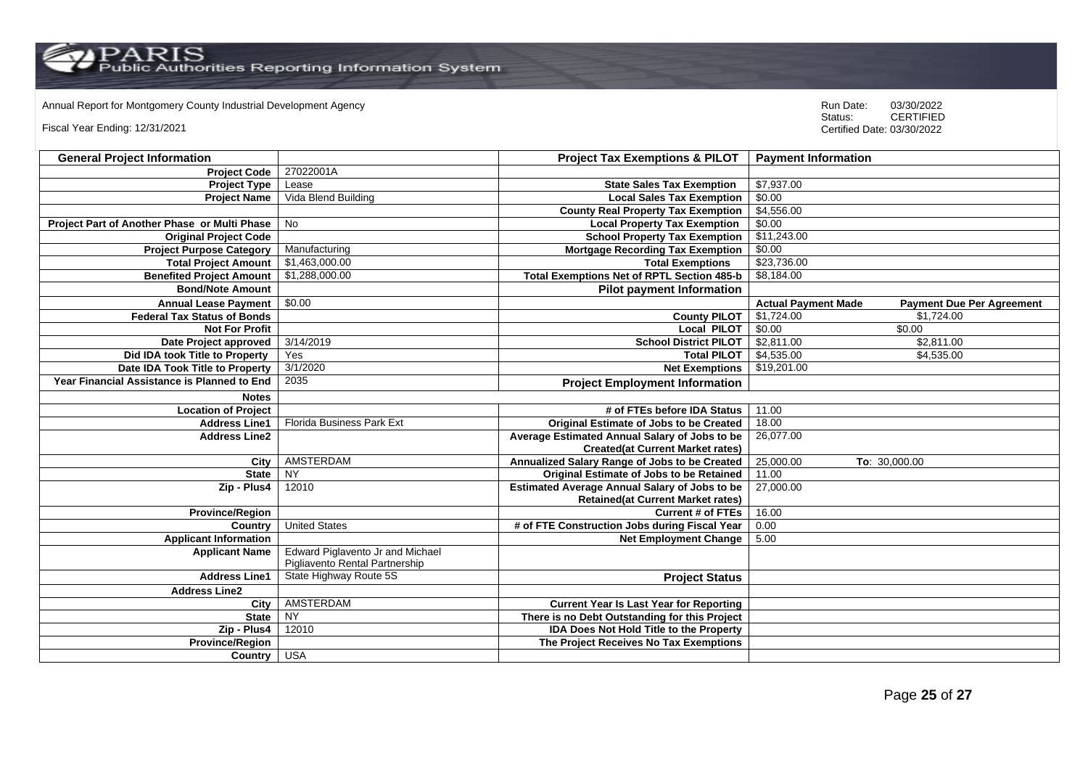Annual Report for Montgomery County Industrial Development Agency<br>
Status: CERTIFIED

Fiscal Year Ending: 12/31/2021

| <b>General Project Information</b>           |                                                                    | <b>Project Tax Exemptions &amp; PILOT</b>            | <b>Payment Information</b>                                     |  |
|----------------------------------------------|--------------------------------------------------------------------|------------------------------------------------------|----------------------------------------------------------------|--|
| <b>Project Code</b>                          | 27022001A                                                          |                                                      |                                                                |  |
| <b>Project Type</b>                          | Lease                                                              | <b>State Sales Tax Exemption</b>                     | \$7,937.00                                                     |  |
| <b>Project Name</b>                          | Vida Blend Building                                                | <b>Local Sales Tax Exemption</b>                     | \$0.00                                                         |  |
|                                              |                                                                    | <b>County Real Property Tax Exemption</b>            | \$4,556.00                                                     |  |
| Project Part of Another Phase or Multi Phase | No                                                                 | <b>Local Property Tax Exemption</b>                  | \$0.00                                                         |  |
| <b>Original Project Code</b>                 |                                                                    | <b>School Property Tax Exemption</b>                 | \$11,243.00                                                    |  |
| <b>Project Purpose Category</b>              | Manufacturing                                                      | <b>Mortgage Recording Tax Exemption</b>              | \$0.00                                                         |  |
| <b>Total Project Amount</b>                  | \$1,463,000.00                                                     | <b>Total Exemptions</b>                              | \$23,736.00                                                    |  |
| <b>Benefited Project Amount</b>              | \$1,288,000.00                                                     | <b>Total Exemptions Net of RPTL Section 485-b</b>    | \$8,184.00                                                     |  |
| <b>Bond/Note Amount</b>                      |                                                                    | <b>Pilot payment Information</b>                     |                                                                |  |
| <b>Annual Lease Payment</b>                  | \$0.00                                                             |                                                      | <b>Actual Payment Made</b><br><b>Payment Due Per Agreement</b> |  |
| <b>Federal Tax Status of Bonds</b>           |                                                                    | <b>County PILOT</b>                                  | \$1,724.00<br>\$1,724.00                                       |  |
| <b>Not For Profit</b>                        |                                                                    | <b>Local PILOT</b>                                   | \$0.00<br>\$0.00                                               |  |
| Date Project approved                        | 3/14/2019                                                          | <b>School District PILOT</b>                         | \$2,811.00<br>\$2,811.00                                       |  |
| Did IDA took Title to Property               | Yes                                                                | <b>Total PILOT</b>                                   | \$4,535.00<br>\$4,535.00                                       |  |
| Date IDA Took Title to Property              | 3/1/2020                                                           | <b>Net Exemptions</b>                                | \$19,201.00                                                    |  |
| Year Financial Assistance is Planned to End  | 2035                                                               | <b>Project Employment Information</b>                |                                                                |  |
| <b>Notes</b>                                 |                                                                    |                                                      |                                                                |  |
| <b>Location of Project</b>                   |                                                                    | # of FTEs before IDA Status                          | 11.00                                                          |  |
| <b>Address Line1</b>                         | <b>Florida Business Park Ext</b>                                   | Original Estimate of Jobs to be Created              | 18.00                                                          |  |
| <b>Address Line2</b>                         |                                                                    | Average Estimated Annual Salary of Jobs to be        | 26,077.00                                                      |  |
|                                              |                                                                    | <b>Created(at Current Market rates)</b>              |                                                                |  |
| City                                         | AMSTERDAM                                                          | Annualized Salary Range of Jobs to be Created        | 25,000.00<br>To: 30,000.00                                     |  |
| <b>State</b>                                 | <b>NY</b>                                                          | Original Estimate of Jobs to be Retained             | 11.00                                                          |  |
| Zip - Plus4                                  | 12010                                                              | <b>Estimated Average Annual Salary of Jobs to be</b> | 27,000.00                                                      |  |
|                                              |                                                                    | <b>Retained(at Current Market rates)</b>             |                                                                |  |
| <b>Province/Region</b>                       |                                                                    | <b>Current # of FTEs</b>                             | 16.00                                                          |  |
| Country                                      | <b>United States</b>                                               | # of FTE Construction Jobs during Fiscal Year        | 0.00                                                           |  |
| <b>Applicant Information</b>                 |                                                                    | <b>Net Employment Change</b>                         | 5.00                                                           |  |
| <b>Applicant Name</b>                        | Edward Piglavento Jr and Michael<br>Pigliavento Rental Partnership |                                                      |                                                                |  |
| <b>Address Line1</b>                         | State Highway Route 5S                                             | <b>Project Status</b>                                |                                                                |  |
| <b>Address Line2</b>                         |                                                                    |                                                      |                                                                |  |
| City                                         | AMSTERDAM                                                          | <b>Current Year Is Last Year for Reporting</b>       |                                                                |  |
| <b>State</b>                                 | <b>NY</b>                                                          | There is no Debt Outstanding for this Project        |                                                                |  |
| Zip - Plus4                                  | 12010                                                              | <b>IDA Does Not Hold Title to the Property</b>       |                                                                |  |
| <b>Province/Region</b>                       |                                                                    | The Project Receives No Tax Exemptions               |                                                                |  |
| Country USA                                  |                                                                    |                                                      |                                                                |  |
|                                              |                                                                    |                                                      |                                                                |  |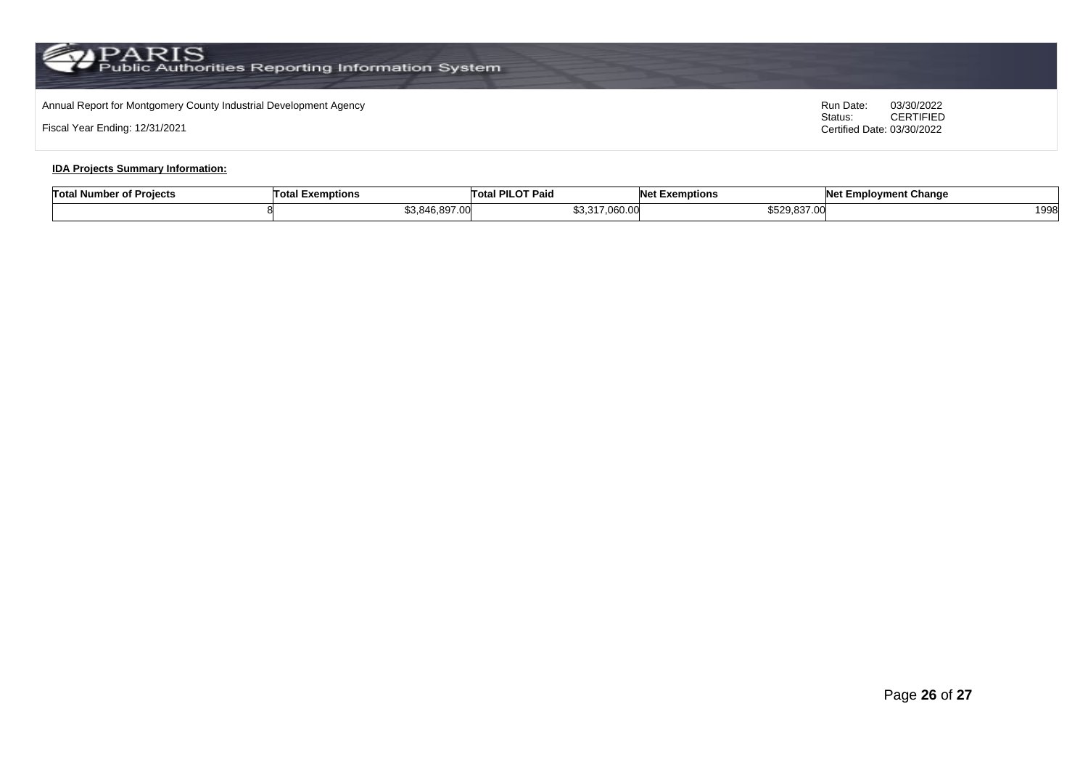## Annual Report for Montgomery County Industrial Development Agency<br>
Status: CERTIFIED

Fiscal Year Ending: 12/31/2021

CERTIFIED Certified Date: 03/30/2022

#### **IDA Projects Summary Information:**

| <b>Total N</b><br>er of Projects<br>Number | <b>Total F</b><br>l Exemptions               | <b>I PILOT Paio</b><br>⊟ ot⊾ | Not F<br><b>Exemptions</b>                      | <b>Net Employment Change</b> |
|--------------------------------------------|----------------------------------------------|------------------------------|-------------------------------------------------|------------------------------|
|                                            | ፍ3 ጸ46<br>$\sim$<br>- 22<br>.J.840.89<br>יש. | \$3,317,060.00               | <b>CE20 837</b><br>6529.83<br>$\cdot\cdot\cdot$ | 1998                         |